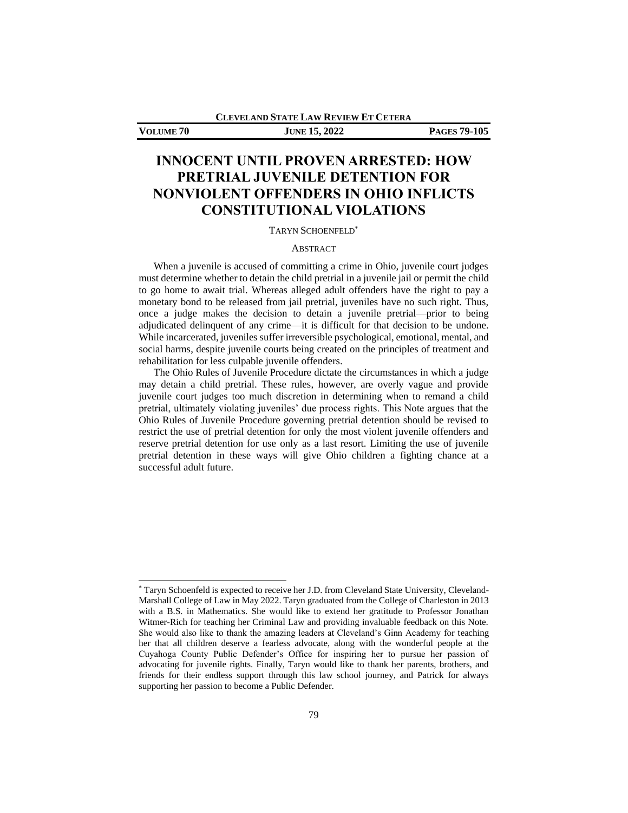**CLEVELAND STATE LAW REVIEW ET CETERA**

# **VOLUME 70 JUNE 15, 2022 PAGES 79-105**

# **INNOCENT UNTIL PROVEN ARRESTED: HOW PRETRIAL JUVENILE DETENTION FOR NONVIOLENT OFFENDERS IN OHIO INFLICTS CONSTITUTIONAL VIOLATIONS**

#### TARYN SCHOENFELD\*

# ABSTRACT

When a juvenile is accused of committing a crime in Ohio, juvenile court judges must determine whether to detain the child pretrial in a juvenile jail or permit the child to go home to await trial. Whereas alleged adult offenders have the right to pay a monetary bond to be released from jail pretrial, juveniles have no such right. Thus, once a judge makes the decision to detain a juvenile pretrial—prior to being adjudicated delinquent of any crime—it is difficult for that decision to be undone. While incarcerated, juveniles suffer irreversible psychological, emotional, mental, and social harms, despite juvenile courts being created on the principles of treatment and rehabilitation for less culpable juvenile offenders.

The Ohio Rules of Juvenile Procedure dictate the circumstances in which a judge may detain a child pretrial. These rules, however, are overly vague and provide juvenile court judges too much discretion in determining when to remand a child pretrial, ultimately violating juveniles' due process rights. This Note argues that the Ohio Rules of Juvenile Procedure governing pretrial detention should be revised to restrict the use of pretrial detention for only the most violent juvenile offenders and reserve pretrial detention for use only as a last resort. Limiting the use of juvenile pretrial detention in these ways will give Ohio children a fighting chance at a successful adult future.

<sup>\*</sup> Taryn Schoenfeld is expected to receive her J.D. from Cleveland State University, Cleveland-Marshall College of Law in May 2022. Taryn graduated from the College of Charleston in 2013 with a B.S. in Mathematics. She would like to extend her gratitude to Professor Jonathan Witmer-Rich for teaching her Criminal Law and providing invaluable feedback on this Note. She would also like to thank the amazing leaders at Cleveland's Ginn Academy for teaching her that all children deserve a fearless advocate, along with the wonderful people at the Cuyahoga County Public Defender's Office for inspiring her to pursue her passion of advocating for juvenile rights. Finally, Taryn would like to thank her parents, brothers, and friends for their endless support through this law school journey, and Patrick for always supporting her passion to become a Public Defender.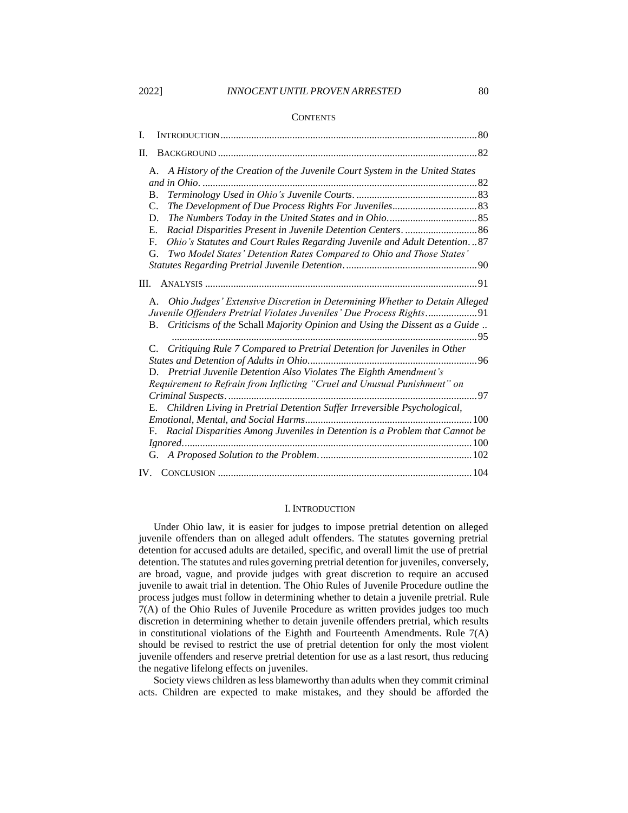#### 2022] *INNOCENT UNTIL PROVEN ARRESTED* 80

#### **CONTENTS**

| Ī.  |                |                                                                                                                                                    |      |
|-----|----------------|----------------------------------------------------------------------------------------------------------------------------------------------------|------|
| Π.  |                |                                                                                                                                                    |      |
|     |                | A. A History of the Creation of the Juvenile Court System in the United States                                                                     |      |
|     |                |                                                                                                                                                    |      |
|     | <b>B.</b>      |                                                                                                                                                    |      |
|     | $\mathbf{C}$ . |                                                                                                                                                    |      |
|     | D.             |                                                                                                                                                    |      |
|     | Е.             |                                                                                                                                                    |      |
|     | F.             | Ohio's Statutes and Court Rules Regarding Juvenile and Adult Detention87                                                                           |      |
|     | G.             | Two Model States' Detention Rates Compared to Ohio and Those States'                                                                               |      |
|     |                |                                                                                                                                                    |      |
| Ш.  |                |                                                                                                                                                    |      |
|     | A.             | Ohio Judges' Extensive Discretion in Determining Whether to Detain Alleged<br>Juvenile Offenders Pretrial Violates Juveniles' Due Process Rights91 |      |
|     |                | B. Criticisms of the Schall Majority Opinion and Using the Dissent as a Guide                                                                      | . 95 |
|     |                | Critiquing Rule 7 Compared to Pretrial Detention for Juveniles in Other                                                                            |      |
|     |                |                                                                                                                                                    |      |
|     |                | D. Pretrial Juvenile Detention Also Violates The Eighth Amendment's                                                                                |      |
|     |                | Requirement to Refrain from Inflicting "Cruel and Unusual Punishment" on                                                                           |      |
|     |                |                                                                                                                                                    | . 97 |
|     | E.             | Children Living in Pretrial Detention Suffer Irreversible Psychological,                                                                           |      |
|     |                |                                                                                                                                                    |      |
|     | F.             | Racial Disparities Among Juveniles in Detention is a Problem that Cannot be                                                                        |      |
|     |                |                                                                                                                                                    |      |
|     |                |                                                                                                                                                    |      |
| IV. |                |                                                                                                                                                    |      |

#### I. INTRODUCTION

Under Ohio law, it is easier for judges to impose pretrial detention on alleged juvenile offenders than on alleged adult offenders. The statutes governing pretrial detention for accused adults are detailed, specific, and overall limit the use of pretrial detention. The statutes and rules governing pretrial detention for juveniles, conversely, are broad, vague, and provide judges with great discretion to require an accused juvenile to await trial in detention. The Ohio Rules of Juvenile Procedure outline the process judges must follow in determining whether to detain a juvenile pretrial. Rule 7(A) of the Ohio Rules of Juvenile Procedure as written provides judges too much discretion in determining whether to detain juvenile offenders pretrial, which results in constitutional violations of the Eighth and Fourteenth Amendments. Rule  $7(A)$ should be revised to restrict the use of pretrial detention for only the most violent juvenile offenders and reserve pretrial detention for use as a last resort, thus reducing the negative lifelong effects on juveniles.

Society views children as less blameworthy than adults when they commit criminal acts. Children are expected to make mistakes, and they should be afforded the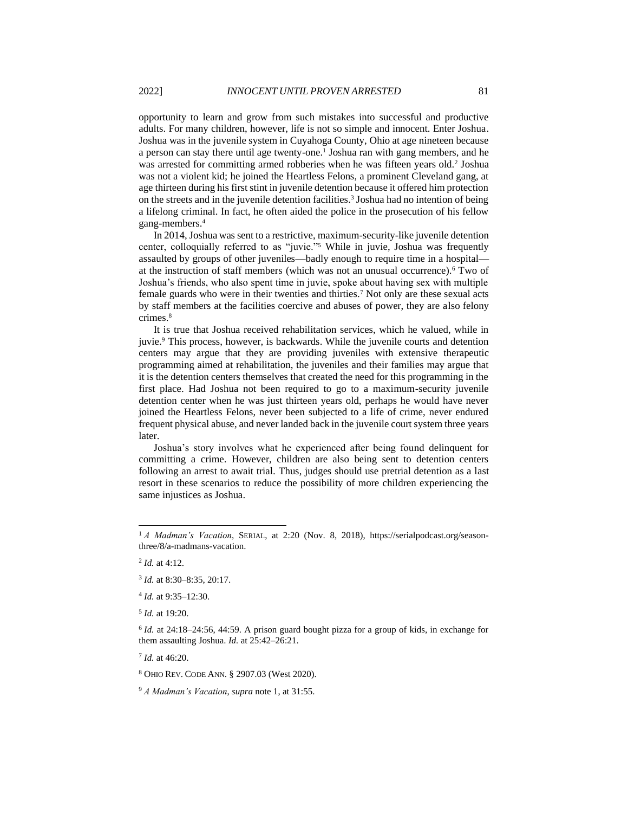<span id="page-2-0"></span>opportunity to learn and grow from such mistakes into successful and productive adults. For many children, however, life is not so simple and innocent. Enter Joshua. Joshua was in the juvenile system in Cuyahoga County, Ohio at age nineteen because a person can stay there until age twenty-one.<sup>1</sup> Joshua ran with gang members, and he was arrested for committing armed robberies when he was fifteen years old.<sup>2</sup> Joshua was not a violent kid; he joined the Heartless Felons, a prominent Cleveland gang, at age thirteen during his first stint in juvenile detention because it offered him protection on the streets and in the juvenile detention facilities.<sup>3</sup> Joshua had no intention of being a lifelong criminal. In fact, he often aided the police in the prosecution of his fellow gang-members.<sup>4</sup>

In 2014, Joshua was sent to a restrictive, maximum-security-like juvenile detention center, colloquially referred to as "juvie."<sup>5</sup> While in juvie, Joshua was frequently assaulted by groups of other juveniles—badly enough to require time in a hospital at the instruction of staff members (which was not an unusual occurrence).<sup>6</sup> Two of Joshua's friends, who also spent time in juvie, spoke about having sex with multiple female guards who were in their twenties and thirties.<sup>7</sup> Not only are these sexual acts by staff members at the facilities coercive and abuses of power, they are also felony crimes.<sup>8</sup>

It is true that Joshua received rehabilitation services, which he valued, while in juvie.<sup>9</sup> This process, however, is backwards. While the juvenile courts and detention centers may argue that they are providing juveniles with extensive therapeutic programming aimed at rehabilitation, the juveniles and their families may argue that it is the detention centers themselves that created the need for this programming in the first place. Had Joshua not been required to go to a maximum-security juvenile detention center when he was just thirteen years old, perhaps he would have never joined the Heartless Felons, never been subjected to a life of crime, never endured frequent physical abuse, and never landed back in the juvenile court system three years later.

Joshua's story involves what he experienced after being found delinquent for committing a crime. However, children are also being sent to detention centers following an arrest to await trial. Thus, judges should use pretrial detention as a last resort in these scenarios to reduce the possibility of more children experiencing the same injustices as Joshua.

5 *Id.* at 19:20.

7 *Id.* at 46:20.

<sup>8</sup> OHIO REV. CODE ANN. § 2907.03 (West 2020).

<sup>&</sup>lt;sup>1</sup> *A Madman's Vacation*, SERIAL, at 2:20 (Nov. 8, 2018), https://serialpodcast.org/seasonthree/8/a-madmans-vacation.

<sup>2</sup> *Id.* at 4:12.

<sup>3</sup> *Id.* at 8:30–8:35, 20:17.

<sup>4</sup> *Id.* at 9:35–12:30.

<sup>6</sup> *Id.* at 24:18–24:56, 44:59. A prison guard bought pizza for a group of kids, in exchange for them assaulting Joshua. *Id.* at 25:42–26:21.

<sup>9</sup> *A Madman's Vacation*, *supra* not[e 1,](#page-2-0) at 31:55.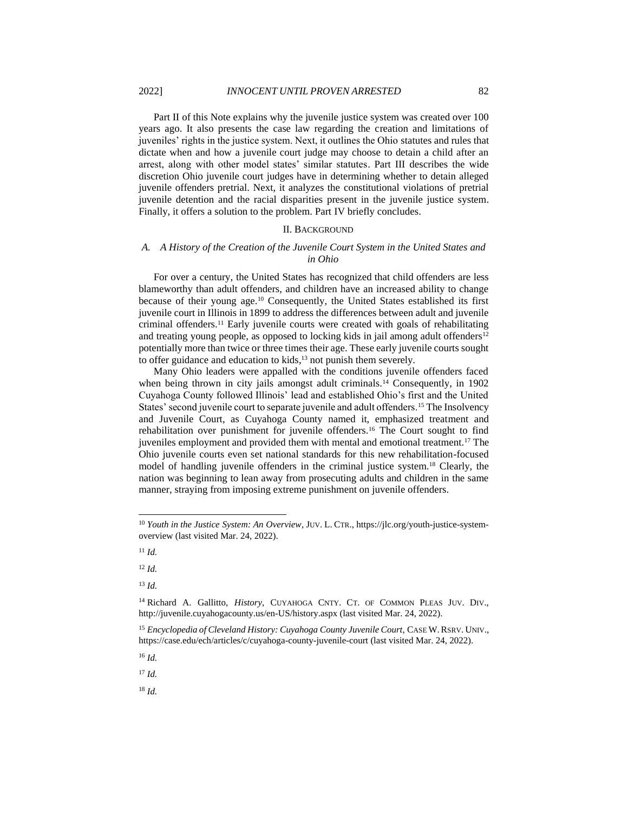Part II of this Note explains why the juvenile justice system was created over 100 years ago. It also presents the case law regarding the creation and limitations of juveniles' rights in the justice system. Next, it outlines the Ohio statutes and rules that dictate when and how a juvenile court judge may choose to detain a child after an arrest, along with other model states' similar statutes. Part III describes the wide discretion Ohio juvenile court judges have in determining whether to detain alleged juvenile offenders pretrial. Next, it analyzes the constitutional violations of pretrial juvenile detention and the racial disparities present in the juvenile justice system. Finally, it offers a solution to the problem. Part IV briefly concludes.

#### <span id="page-3-0"></span>II. BACKGROUND

#### *A. A History of the Creation of the Juvenile Court System in the United States and in Ohio*

For over a century, the United States has recognized that child offenders are less blameworthy than adult offenders, and children have an increased ability to change because of their young age.<sup>10</sup> Consequently, the United States established its first juvenile court in Illinois in 1899 to address the differences between adult and juvenile criminal offenders.<sup>11</sup> Early juvenile courts were created with goals of rehabilitating and treating young people, as opposed to locking kids in jail among adult offenders $12$ potentially more than twice or three times their age. These early juvenile courts sought to offer guidance and education to kids,<sup>13</sup> not punish them severely.

Many Ohio leaders were appalled with the conditions juvenile offenders faced when being thrown in city jails amongst adult criminals.<sup>14</sup> Consequently, in 1902 Cuyahoga County followed Illinois' lead and established Ohio's first and the United States' second juvenile court to separate juvenile and adult offenders.<sup>15</sup> The Insolvency and Juvenile Court, as Cuyahoga County named it, emphasized treatment and rehabilitation over punishment for juvenile offenders.<sup>16</sup> The Court sought to find juveniles employment and provided them with mental and emotional treatment.<sup>17</sup> The Ohio juvenile courts even set national standards for this new rehabilitation-focused model of handling juvenile offenders in the criminal justice system.<sup>18</sup> Clearly, the nation was beginning to lean away from prosecuting adults and children in the same manner, straying from imposing extreme punishment on juvenile offenders.

<sup>12</sup> *Id.*

<sup>13</sup> *Id.*

<sup>16</sup> *Id.*

<sup>17</sup> *Id.*

<sup>&</sup>lt;sup>10</sup> Youth in the Justice System: An Overview, JUV. L. CTR., https://jlc.org/youth-justice-systemoverview (last visited Mar. 24, 2022).

<sup>11</sup> *Id.*

<sup>14</sup> Richard A. Gallitto, *History*, CUYAHOGA CNTY. CT. OF COMMON PLEAS JUV. DIV., http://juvenile.cuyahogacounty.us/en-US/history.aspx (last visited Mar. 24, 2022).

<sup>15</sup> *Encyclopedia of Cleveland History: Cuyahoga County Juvenile Court*, CASE W.RSRV. UNIV., https://case.edu/ech/articles/c/cuyahoga-county-juvenile-court (last visited Mar. 24, 2022).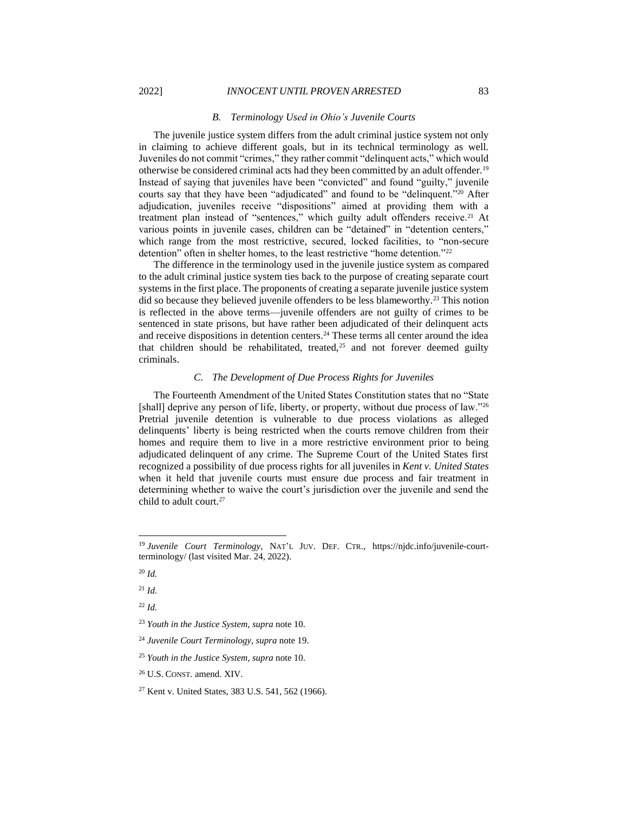#### <span id="page-4-0"></span>*B. Terminology Used in Ohio's Juvenile Courts*

The juvenile justice system differs from the adult criminal justice system not only in claiming to achieve different goals, but in its technical terminology as well. Juveniles do not commit "crimes," they rather commit "delinquent acts," which would otherwise be considered criminal acts had they been committed by an adult offender.<sup>19</sup> Instead of saying that juveniles have been "convicted" and found "guilty," juvenile courts say that they have been "adjudicated" and found to be "delinquent."<sup>20</sup> After adjudication, juveniles receive "dispositions" aimed at providing them with a treatment plan instead of "sentences," which guilty adult offenders receive.<sup>21</sup> At various points in juvenile cases, children can be "detained" in "detention centers," which range from the most restrictive, secured, locked facilities, to "non-secure detention" often in shelter homes, to the least restrictive "home detention."<sup>22</sup>

The difference in the terminology used in the juvenile justice system as compared to the adult criminal justice system ties back to the purpose of creating separate court systems in the first place. The proponents of creating a separate juvenile justice system did so because they believed juvenile offenders to be less blameworthy.<sup>23</sup> This notion is reflected in the above terms—juvenile offenders are not guilty of crimes to be sentenced in state prisons, but have rather been adjudicated of their delinquent acts and receive dispositions in detention centers.<sup>24</sup> These terms all center around the idea that children should be rehabilitated, treated, $25$  and not forever deemed guilty criminals.

#### *C. The Development of Due Process Rights for Juveniles*

The Fourteenth Amendment of the United States Constitution states that no "State [shall] deprive any person of life, liberty, or property, without due process of law."26 Pretrial juvenile detention is vulnerable to due process violations as alleged delinquents' liberty is being restricted when the courts remove children from their homes and require them to live in a more restrictive environment prior to being adjudicated delinquent of any crime. The Supreme Court of the United States first recognized a possibility of due process rights for all juveniles in *Kent v. United States* when it held that juvenile courts must ensure due process and fair treatment in determining whether to waive the court's jurisdiction over the juvenile and send the child to adult court.<sup>27</sup>

<sup>19</sup> *Juvenile Court Terminology*, NAT'L JUV. DEF. CTR., https://njdc.info/juvenile-courtterminology/ (last visited Mar. 24, 2022).

<sup>20</sup> *Id.*

<sup>21</sup> *Id.*

<sup>22</sup> *Id.*

<sup>23</sup> *Youth in the Justice System*, *supra* not[e 10.](#page-3-0)

<sup>24</sup> *Juvenile Court Terminology*, *supra* note [19.](#page-4-0)

<sup>25</sup> *Youth in the Justice System*, *supra* not[e 10.](#page-3-0)

<sup>26</sup> U.S. CONST. amend. XIV.

<sup>27</sup> Kent v. United States, 383 U.S. 541, 562 (1966).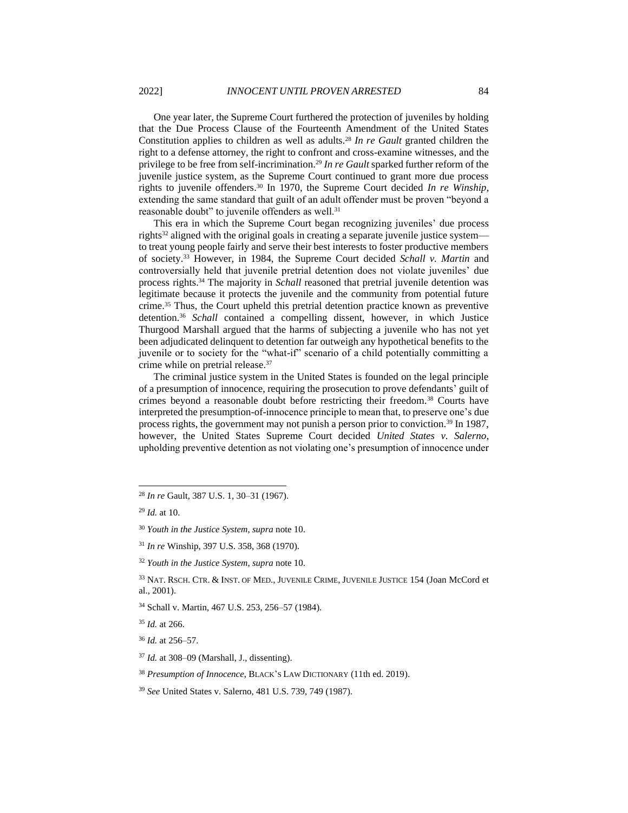One year later, the Supreme Court furthered the protection of juveniles by holding that the Due Process Clause of the Fourteenth Amendment of the United States Constitution applies to children as well as adults.<sup>28</sup> *In re Gault* granted children the right to a defense attorney, the right to confront and cross-examine witnesses, and the privilege to be free from self-incrimination.<sup>29</sup> *In re Gault* sparked further reform of the juvenile justice system, as the Supreme Court continued to grant more due process rights to juvenile offenders.<sup>30</sup> In 1970, the Supreme Court decided *In re Winship*, extending the same standard that guilt of an adult offender must be proven "beyond a reasonable doubt" to juvenile offenders as well.<sup>31</sup>

This era in which the Supreme Court began recognizing juveniles' due process rights<sup>32</sup> aligned with the original goals in creating a separate juvenile justice system to treat young people fairly and serve their best interests to foster productive members of society.<sup>33</sup> However, in 1984, the Supreme Court decided *Schall v. Martin* and controversially held that juvenile pretrial detention does not violate juveniles' due process rights.<sup>34</sup> The majority in *Schall* reasoned that pretrial juvenile detention was legitimate because it protects the juvenile and the community from potential future crime.<sup>35</sup> Thus, the Court upheld this pretrial detention practice known as preventive detention.<sup>36</sup> *Schall* contained a compelling dissent, however, in which Justice Thurgood Marshall argued that the harms of subjecting a juvenile who has not yet been adjudicated delinquent to detention far outweigh any hypothetical benefits to the juvenile or to society for the "what-if" scenario of a child potentially committing a crime while on pretrial release.<sup>37</sup>

The criminal justice system in the United States is founded on the legal principle of a presumption of innocence, requiring the prosecution to prove defendants' guilt of crimes beyond a reasonable doubt before restricting their freedom.<sup>38</sup> Courts have interpreted the presumption-of-innocence principle to mean that, to preserve one's due process rights, the government may not punish a person prior to conviction.<sup>39</sup> In 1987, however, the United States Supreme Court decided *United States v. Salerno*, upholding preventive detention as not violating one's presumption of innocence under

<sup>33</sup> NAT. RSCH. CTR. & INST. OF MED., JUVENILE CRIME, JUVENILE JUSTICE 154 (Joan McCord et al., 2001).

<sup>28</sup> *In re* Gault, 387 U.S. 1, 30–31 (1967).

<sup>29</sup> *Id.* at 10.

<sup>30</sup> *Youth in the Justice System*, *supra* not[e 10.](#page-3-0)

<sup>31</sup> *In re* Winship, 397 U.S. 358, 368 (1970).

<sup>32</sup> *Youth in the Justice System*, *supra* not[e 10.](#page-3-0)

<sup>34</sup> Schall v. Martin, 467 U.S. 253, 256–57 (1984).

<sup>35</sup> *Id.* at 266.

<sup>36</sup> *Id.* at 256–57.

<sup>37</sup> *Id.* at 308–09 (Marshall, J., dissenting).

<sup>38</sup> *Presumption of Innocence*, BLACK'S LAW DICTIONARY (11th ed. 2019).

<sup>39</sup> *See* United States v. Salerno, 481 U.S. 739, 749 (1987).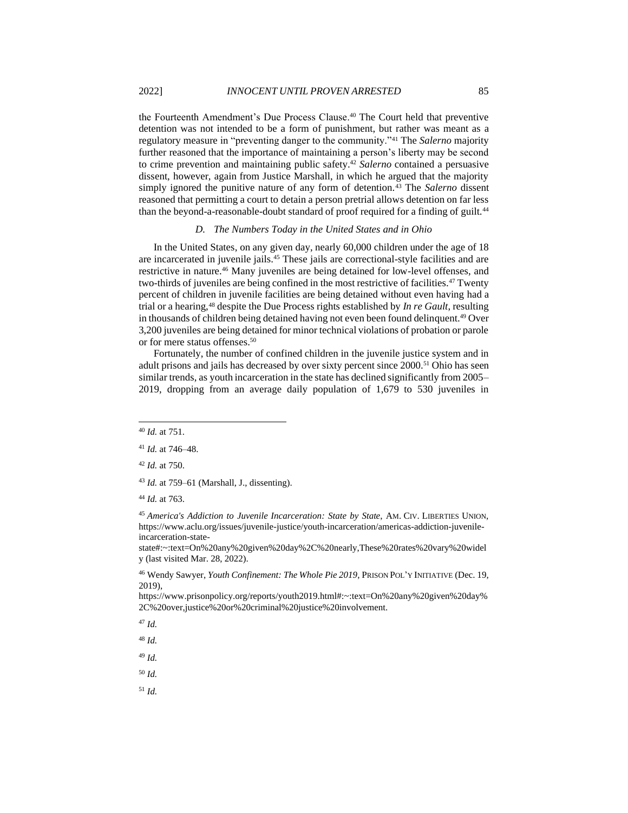the Fourteenth Amendment's Due Process Clause.<sup>40</sup> The Court held that preventive detention was not intended to be a form of punishment, but rather was meant as a regulatory measure in "preventing danger to the community."<sup>41</sup> The *Salerno* majority further reasoned that the importance of maintaining a person's liberty may be second to crime prevention and maintaining public safety.<sup>42</sup> *Salerno* contained a persuasive dissent, however, again from Justice Marshall, in which he argued that the majority simply ignored the punitive nature of any form of detention.<sup>43</sup> The *Salerno* dissent reasoned that permitting a court to detain a person pretrial allows detention on far less than the beyond-a-reasonable-doubt standard of proof required for a finding of guilt.<sup>44</sup>

### <span id="page-6-1"></span><span id="page-6-0"></span>*D. The Numbers Today in the United States and in Ohio*

In the United States, on any given day, nearly 60,000 children under the age of 18 are incarcerated in juvenile jails.<sup>45</sup> These jails are correctional-style facilities and are restrictive in nature.<sup>46</sup> Many juveniles are being detained for low-level offenses, and two-thirds of juveniles are being confined in the most restrictive of facilities.<sup>47</sup> Twenty percent of children in juvenile facilities are being detained without even having had a trial or a hearing,<sup>48</sup> despite the Due Process rights established by *In re Gault*, resulting in thousands of children being detained having not even been found delinquent.<sup>49</sup> Over 3,200 juveniles are being detained for minor technical violations of probation or parole or for mere status offenses.<sup>50</sup>

Fortunately, the number of confined children in the juvenile justice system and in adult prisons and jails has decreased by over sixty percent since 2000.<sup>51</sup> Ohio has seen similar trends, as youth incarceration in the state has declined significantly from 2005– 2019, dropping from an average daily population of 1,679 to 530 juveniles in

state#:~:text=On%20any%20given%20day%2C%20nearly,These%20rates%20vary%20widel y (last visited Mar. 28, 2022).

<sup>46</sup> Wendy Sawyer, *Youth Confinement: The Whole Pie 2019*, PRISON POL'Y INITIATIVE (Dec. 19, 2019),

https://www.prisonpolicy.org/reports/youth2019.html#:~:text=On%20any%20given%20day% 2C%20over,justice%20or%20criminal%20justice%20involvement.

<sup>47</sup> *Id.*

<sup>48</sup> *Id.*

<sup>49</sup> *Id.*

<sup>50</sup> *Id.*

<sup>40</sup> *Id.* at 751.

<sup>41</sup> *Id.* at 746–48.

<sup>42</sup> *Id.* at 750.

<sup>43</sup> *Id.* at 759–61 (Marshall, J., dissenting).

<sup>44</sup> *Id.* at 763.

<sup>45</sup> *America's Addiction to Juvenile Incarceration: State by State*, AM. CIV. LIBERTIES UNION, https://www.aclu.org/issues/juvenile-justice/youth-incarceration/americas-addiction-juvenileincarceration-state-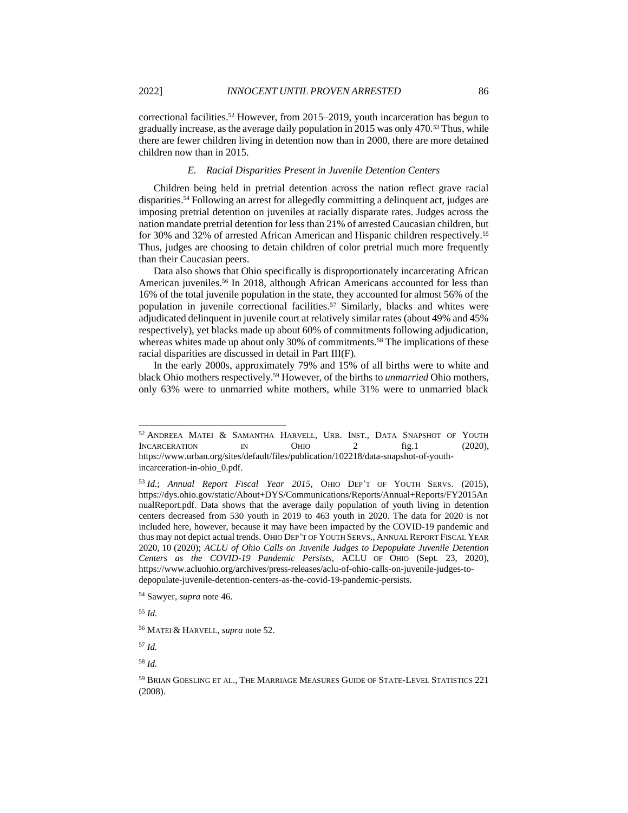correctional facilities.<sup>52</sup> However, from 2015–2019, youth incarceration has begun to gradually increase, as the average daily population in 2015 was only 470.<sup>53</sup> Thus, while there are fewer children living in detention now than in 2000, there are more detained children now than in 2015.

#### <span id="page-7-0"></span>*E. Racial Disparities Present in Juvenile Detention Centers*

Children being held in pretrial detention across the nation reflect grave racial disparities.<sup>54</sup> Following an arrest for allegedly committing a delinquent act, judges are imposing pretrial detention on juveniles at racially disparate rates. Judges across the nation mandate pretrial detention for less than 21% of arrested Caucasian children, but for 30% and 32% of arrested African American and Hispanic children respectively.<sup>55</sup> Thus, judges are choosing to detain children of color pretrial much more frequently than their Caucasian peers.

Data also shows that Ohio specifically is disproportionately incarcerating African American juveniles.<sup>56</sup> In 2018, although African Americans accounted for less than 16% of the total juvenile population in the state, they accounted for almost 56% of the population in juvenile correctional facilities.<sup>57</sup> Similarly, blacks and whites were adjudicated delinquent in juvenile court at relatively similar rates (about 49% and 45% respectively), yet blacks made up about 60% of commitments following adjudication, whereas whites made up about only 30% of commitments.<sup>58</sup> The implications of these racial disparities are discussed in detail in Part III(F).

In the early 2000s, approximately 79% and 15% of all births were to white and black Ohio mothers respectively.<sup>59</sup> However, of the births to *unmarried* Ohio mothers, only 63% were to unmarried white mothers, while 31% were to unmarried black

<sup>57</sup> *Id.*

<sup>&</sup>lt;sup>52</sup> ANDREEA MATEI & SAMANTHA HARVELL, URB. INST., DATA SNAPSHOT OF YOUTH INCARCERATION IN OHIO 2 fig.1 (2020). INCARCERATION IN OHIO 2 fig.1 (2020), https://www.urban.org/sites/default/files/publication/102218/data-snapshot-of-youthincarceration-in-ohio\_0.pdf.

<sup>53</sup> *Id.*; *Annual Report Fiscal Year 2015*, OHIO DEP'T OF YOUTH SERVS. (2015), https://dys.ohio.gov/static/About+DYS/Communications/Reports/Annual+Reports/FY2015An nualReport.pdf. Data shows that the average daily population of youth living in detention centers decreased from 530 youth in 2019 to 463 youth in 2020. The data for 2020 is not included here, however, because it may have been impacted by the COVID-19 pandemic and thus may not depict actual trends. OHIO DEP'T OF YOUTH SERVS., ANNUAL REPORT FISCAL YEAR 2020, 10 (2020); *ACLU of Ohio Calls on Juvenile Judges to Depopulate Juvenile Detention Centers as the COVID-19 Pandemic Persists*, ACLU OF OHIO (Sept. 23, 2020), https://www.acluohio.org/archives/press-releases/aclu-of-ohio-calls-on-juvenile-judges-todepopulate-juvenile-detention-centers-as-the-covid-19-pandemic-persists.

<sup>54</sup> Sawyer, *supra* not[e 46.](#page-6-0)

<sup>55</sup> *Id.*

<sup>56</sup> MATEI & HARVELL, *supra* note [52.](#page-7-0)

<sup>59</sup> BRIAN GOESLING ET AL., THE MARRIAGE MEASURES GUIDE OF STATE-LEVEL STATISTICS 221 (2008).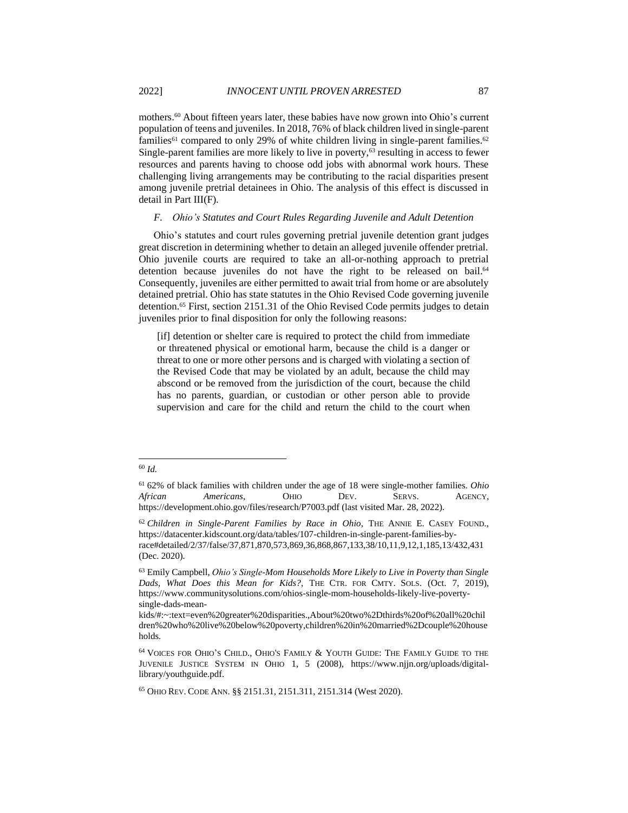mothers.<sup>60</sup> About fifteen years later, these babies have now grown into Ohio's current population of teens and juveniles. In 2018, 76% of black children lived in single-parent families<sup>61</sup> compared to only 29% of white children living in single-parent families.<sup>62</sup> Single-parent families are more likely to live in poverty,<sup>63</sup> resulting in access to fewer resources and parents having to choose odd jobs with abnormal work hours. These challenging living arrangements may be contributing to the racial disparities present among juvenile pretrial detainees in Ohio. The analysis of this effect is discussed in detail in Part III(F).

#### *F. Ohio's Statutes and Court Rules Regarding Juvenile and Adult Detention*

Ohio's statutes and court rules governing pretrial juvenile detention grant judges great discretion in determining whether to detain an alleged juvenile offender pretrial. Ohio juvenile courts are required to take an all-or-nothing approach to pretrial detention because juveniles do not have the right to be released on bail.<sup>64</sup> Consequently, juveniles are either permitted to await trial from home or are absolutely detained pretrial. Ohio has state statutes in the Ohio Revised Code governing juvenile detention. <sup>65</sup> First, section 2151.31 of the Ohio Revised Code permits judges to detain juveniles prior to final disposition for only the following reasons:

[if] detention or shelter care is required to protect the child from immediate or threatened physical or emotional harm, because the child is a danger or threat to one or more other persons and is charged with violating a section of the Revised Code that may be violated by an adult, because the child may abscond or be removed from the jurisdiction of the court, because the child has no parents, guardian, or custodian or other person able to provide supervision and care for the child and return the child to the court when

<sup>61</sup> 62% of black families with children under the age of 18 were single-mother families. *Ohio African Americans*, OHIO DEV. SERVS. AGENCY, https://development.ohio.gov/files/research/P7003.pdf (last visited Mar. 28, 2022).

<sup>62</sup> *Children in Single-Parent Families by Race in Ohio*, THE ANNIE E. CASEY FOUND., https://datacenter.kidscount.org/data/tables/107-children-in-single-parent-families-byrace#detailed/2/37/false/37,871,870,573,869,36,868,867,133,38/10,11,9,12,1,185,13/432,431 (Dec. 2020).

<sup>63</sup> Emily Campbell, *Ohio's Single-Mom Households More Likely to Live in Poverty than Single Dads, What Does this Mean for Kids?*, THE CTR. FOR CMTY. SOLS. (Oct. 7, 2019), https://www.communitysolutions.com/ohios-single-mom-households-likely-live-povertysingle-dads-mean-

kids/#:~:text=even%20greater%20disparities.,About%20two%2Dthirds%20of%20all%20chil dren%20who%20live%20below%20poverty,children%20in%20married%2Dcouple%20house holds.

<sup>64</sup> VOICES FOR OHIO'S CHILD., OHIO'S FAMILY & YOUTH GUIDE: THE FAMILY GUIDE TO THE JUVENILE JUSTICE SYSTEM IN OHIO 1, 5 (2008), https://www.njjn.org/uploads/digitallibrary/youthguide.pdf.

<sup>65</sup> OHIO REV. CODE ANN. §§ 2151.31, 2151.311, 2151.314 (West 2020).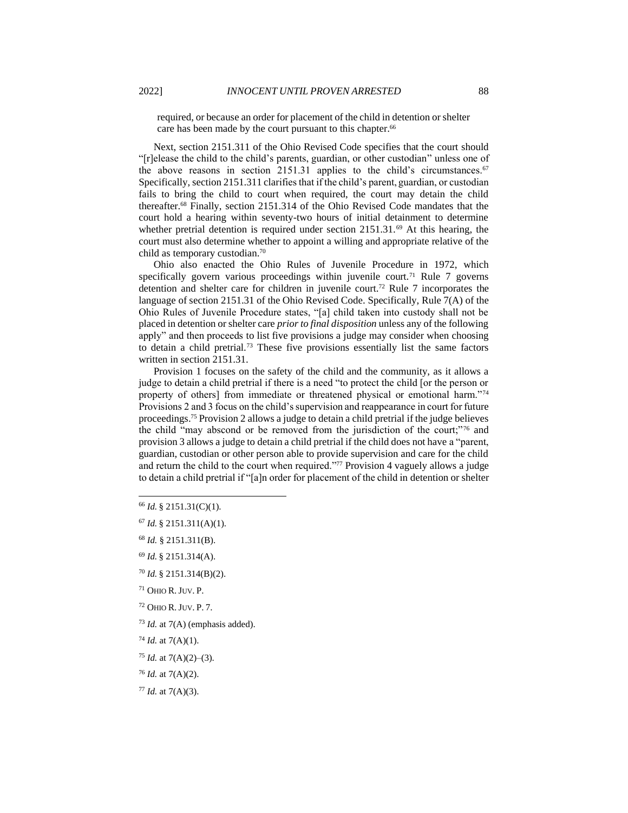required, or because an order for placement of the child in detention or shelter care has been made by the court pursuant to this chapter.<sup>66</sup>

Next, section 2151.311 of the Ohio Revised Code specifies that the court should "[r]elease the child to the child's parents, guardian, or other custodian" unless one of the above reasons in section 2151.31 applies to the child's circumstances. $67$ Specifically, section 2151.311 clarifies that if the child's parent, guardian, or custodian fails to bring the child to court when required, the court may detain the child thereafter.<sup>68</sup> Finally, section 2151.314 of the Ohio Revised Code mandates that the court hold a hearing within seventy-two hours of initial detainment to determine whether pretrial detention is required under section 2151.31.<sup>69</sup> At this hearing, the court must also determine whether to appoint a willing and appropriate relative of the child as temporary custodian.<sup>70</sup>

Ohio also enacted the Ohio Rules of Juvenile Procedure in 1972, which specifically govern various proceedings within juvenile court.<sup>71</sup> Rule 7 governs detention and shelter care for children in juvenile court.<sup>72</sup> Rule 7 incorporates the language of section 2151.31 of the Ohio Revised Code. Specifically, Rule 7(A) of the Ohio Rules of Juvenile Procedure states, "[a] child taken into custody shall not be placed in detention or shelter care *prior to final disposition* unless any of the following apply" and then proceeds to list five provisions a judge may consider when choosing to detain a child pretrial.<sup>73</sup> These five provisions essentially list the same factors written in section 2151.31.

Provision 1 focuses on the safety of the child and the community, as it allows a judge to detain a child pretrial if there is a need "to protect the child [or the person or property of others] from immediate or threatened physical or emotional harm."<sup>74</sup> Provisions 2 and 3 focus on the child's supervision and reappearance in court for future proceedings.<sup>75</sup> Provision 2 allows a judge to detain a child pretrial if the judge believes the child "may abscond or be removed from the jurisdiction of the court;"<sup>76</sup> and provision 3 allows a judge to detain a child pretrial if the child does not have a "parent, guardian, custodian or other person able to provide supervision and care for the child and return the child to the court when required."<sup>77</sup> Provision 4 vaguely allows a judge to detain a child pretrial if "[a]n order for placement of the child in detention or shelter

- <sup>72</sup> OHIO R.JUV. P. 7.
- <sup>73</sup> *Id.* at 7(A) (emphasis added).
- $74$  *Id.* at  $7(A)(1)$ .
- <sup>75</sup> *Id.* at 7(A)(2)–(3).
- <sup>76</sup> *Id.* at 7(A)(2).
- <sup>77</sup> *Id.* at 7(A)(3).

<sup>66</sup> *Id.* § 2151.31(C)(1).

<sup>67</sup> *Id.* § 2151.311(A)(1).

<sup>68</sup> *Id.* § 2151.311(B).

<sup>69</sup> *Id.* § 2151.314(A).

<sup>70</sup> *Id.* § 2151.314(B)(2).

<sup>71</sup> OHIO R.JUV. P.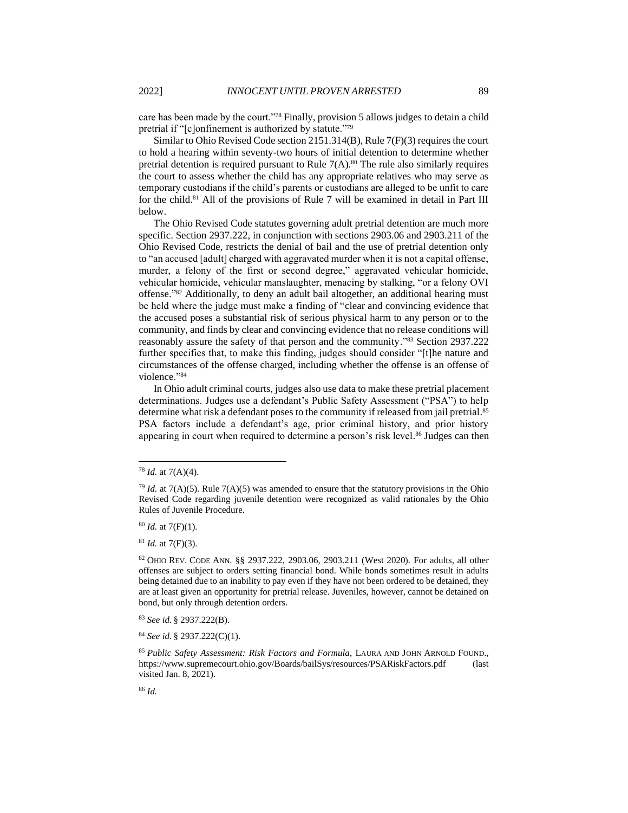care has been made by the court."<sup>78</sup> Finally, provision 5 allows judges to detain a child pretrial if "[c]onfinement is authorized by statute."<sup>79</sup>

Similar to Ohio Revised Code section 2151.314(B), Rule 7(F)(3) requires the court to hold a hearing within seventy-two hours of initial detention to determine whether pretrial detention is required pursuant to Rule  $7(A)$ .<sup>80</sup> The rule also similarly requires the court to assess whether the child has any appropriate relatives who may serve as temporary custodians if the child's parents or custodians are alleged to be unfit to care for the child.<sup>81</sup> All of the provisions of Rule 7 will be examined in detail in Part III below.

The Ohio Revised Code statutes governing adult pretrial detention are much more specific. Section 2937.222, in conjunction with sections 2903.06 and 2903.211 of the Ohio Revised Code, restricts the denial of bail and the use of pretrial detention only to "an accused [adult] charged with aggravated murder when it is not a capital offense, murder, a felony of the first or second degree," aggravated vehicular homicide, vehicular homicide, vehicular manslaughter, menacing by stalking, "or a felony OVI offense." <sup>82</sup> Additionally, to deny an adult bail altogether, an additional hearing must be held where the judge must make a finding of "clear and convincing evidence that the accused poses a substantial risk of serious physical harm to any person or to the community, and finds by clear and convincing evidence that no release conditions will reasonably assure the safety of that person and the community."<sup>83</sup> Section 2937.222 further specifies that, to make this finding, judges should consider "[t]he nature and circumstances of the offense charged, including whether the offense is an offense of violence."<sup>84</sup>

<span id="page-10-0"></span>In Ohio adult criminal courts, judges also use data to make these pretrial placement determinations. Judges use a defendant's Public Safety Assessment ("PSA") to help determine what risk a defendant poses to the community if released from jail pretrial.<sup>85</sup> PSA factors include a defendant's age, prior criminal history, and prior history appearing in court when required to determine a person's risk level. <sup>86</sup> Judges can then

<sup>80</sup> *Id.* at 7(F)(1).

<sup>81</sup> *Id.* at 7(F)(3).

<sup>82</sup> OHIO REV. CODE ANN. §§ 2937.222, 2903.06, 2903.211 (West 2020). For adults, all other offenses are subject to orders setting financial bond. While bonds sometimes result in adults being detained due to an inability to pay even if they have not been ordered to be detained, they are at least given an opportunity for pretrial release. Juveniles, however, cannot be detained on bond, but only through detention orders.

<sup>83</sup> *See id.* § 2937.222(B).

<sup>84</sup> *See id.* § 2937.222(C)(1).

<sup>78</sup> *Id.* at 7(A)(4).

 $^{79}$  *Id.* at 7(A)(5). Rule 7(A)(5) was amended to ensure that the statutory provisions in the Ohio Revised Code regarding juvenile detention were recognized as valid rationales by the Ohio Rules of Juvenile Procedure.

<sup>85</sup> *Public Safety Assessment: Risk Factors and Formula*, LAURA AND JOHN ARNOLD FOUND., https://www.supremecourt.ohio.gov/Boards/bailSys/resources/PSARiskFactors.pdf (last visited Jan. 8, 2021).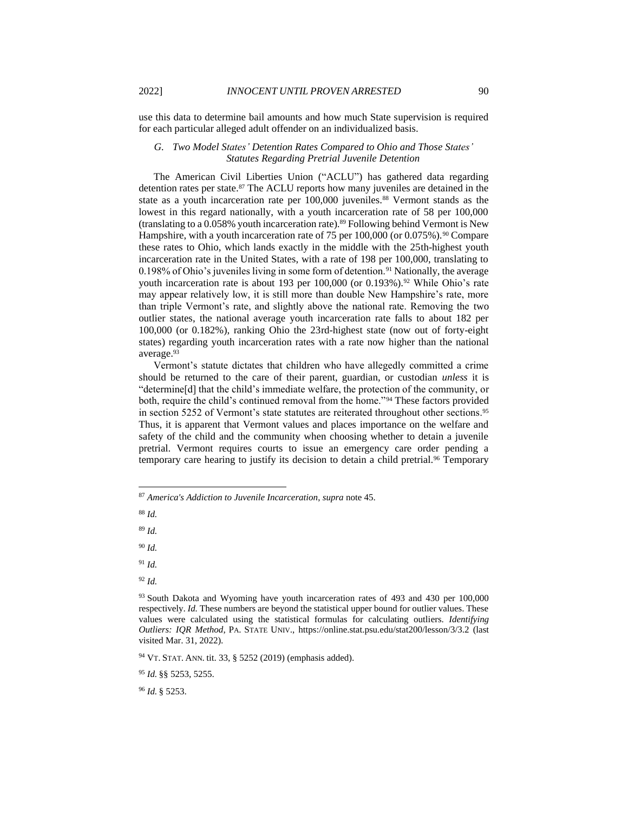use this data to determine bail amounts and how much State supervision is required for each particular alleged adult offender on an individualized basis.

# *G. Two Model States' Detention Rates Compared to Ohio and Those States' Statutes Regarding Pretrial Juvenile Detention*

The American Civil Liberties Union ("ACLU") has gathered data regarding detention rates per state.<sup>87</sup> The ACLU reports how many juveniles are detained in the state as a youth incarceration rate per 100,000 juveniles.<sup>88</sup> Vermont stands as the lowest in this regard nationally, with a youth incarceration rate of 58 per 100,000 (translating to a  $0.058\%$  youth incarceration rate).<sup>89</sup> Following behind Vermont is New Hampshire, with a youth incarceration rate of 75 per 100,000 (or 0.075%).<sup>90</sup> Compare these rates to Ohio, which lands exactly in the middle with the 25th-highest youth incarceration rate in the United States, with a rate of 198 per 100,000, translating to 0.198% of Ohio's juveniles living in some form of detention.<sup>91</sup> Nationally, the average youth incarceration rate is about 193 per 100,000 (or 0.193%).<sup>92</sup> While Ohio's rate may appear relatively low, it is still more than double New Hampshire's rate, more than triple Vermont's rate, and slightly above the national rate. Removing the two outlier states, the national average youth incarceration rate falls to about 182 per 100,000 (or 0.182%), ranking Ohio the 23rd-highest state (now out of forty-eight states) regarding youth incarceration rates with a rate now higher than the national average.<sup>93</sup>

Vermont's statute dictates that children who have allegedly committed a crime should be returned to the care of their parent, guardian, or custodian *unless* it is "determine[d] that the child's immediate welfare, the protection of the community, or both, require the child's continued removal from the home."<sup>94</sup> These factors provided in section 5252 of Vermont's state statutes are reiterated throughout other sections.<sup>95</sup> Thus, it is apparent that Vermont values and places importance on the welfare and safety of the child and the community when choosing whether to detain a juvenile pretrial. Vermont requires courts to issue an emergency care order pending a temporary care hearing to justify its decision to detain a child pretrial.<sup>96</sup> Temporary

<sup>88</sup> *Id.* 

<sup>89</sup> *Id.*

<sup>90</sup> *Id.*

<sup>91</sup> *Id.*

<sup>92</sup> *Id.*

<sup>94</sup> VT. STAT. ANN. tit. 33, § 5252 (2019) (emphasis added).

<sup>95</sup> *Id.* §§ 5253, 5255.

<sup>96</sup> *Id.* § 5253.

<sup>87</sup> *America's Addiction to Juvenile Incarceration*, *supra* note [45.](#page-6-1)

<sup>&</sup>lt;sup>93</sup> South Dakota and Wyoming have youth incarceration rates of 493 and 430 per 100,000 respectively. *Id.* These numbers are beyond the statistical upper bound for outlier values. These values were calculated using the statistical formulas for calculating outliers. *Identifying Outliers: IQR Method*, PA. STATE UNIV., https://online.stat.psu.edu/stat200/lesson/3/3.2 (last visited Mar. 31, 2022).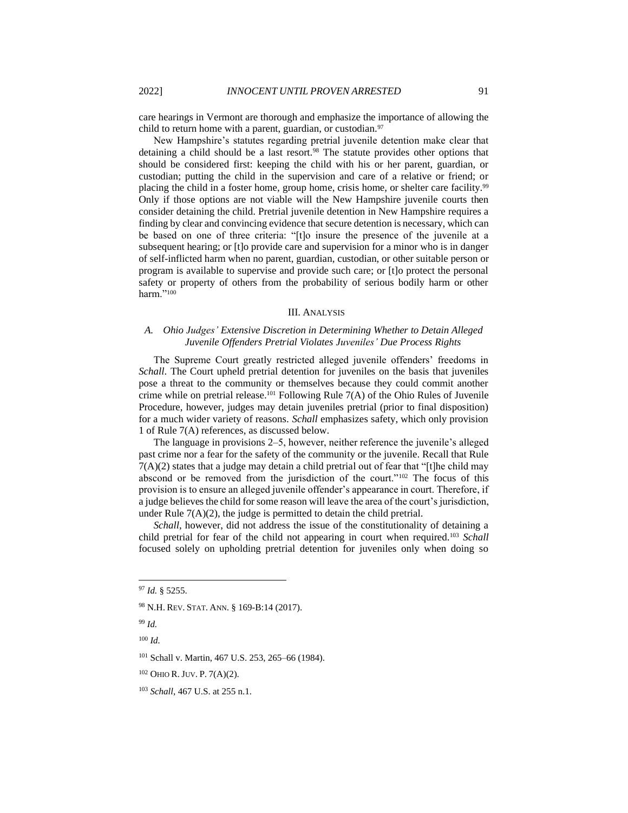care hearings in Vermont are thorough and emphasize the importance of allowing the child to return home with a parent, guardian, or custodian.<sup>97</sup>

New Hampshire's statutes regarding pretrial juvenile detention make clear that detaining a child should be a last resort.<sup>98</sup> The statute provides other options that should be considered first: keeping the child with his or her parent, guardian, or custodian; putting the child in the supervision and care of a relative or friend; or placing the child in a foster home, group home, crisis home, or shelter care facility.<sup>99</sup> Only if those options are not viable will the New Hampshire juvenile courts then consider detaining the child. Pretrial juvenile detention in New Hampshire requires a finding by clear and convincing evidence that secure detention is necessary, which can be based on one of three criteria: "[t]o insure the presence of the juvenile at a subsequent hearing; or [t]o provide care and supervision for a minor who is in danger of self-inflicted harm when no parent, guardian, custodian, or other suitable person or program is available to supervise and provide such care; or [t]o protect the personal safety or property of others from the probability of serious bodily harm or other harm."<sup>100</sup>

#### III. ANALYSIS

# *A. Ohio Judges' Extensive Discretion in Determining Whether to Detain Alleged Juvenile Offenders Pretrial Violates Juveniles' Due Process Rights*

The Supreme Court greatly restricted alleged juvenile offenders' freedoms in *Schall*. The Court upheld pretrial detention for juveniles on the basis that juveniles pose a threat to the community or themselves because they could commit another crime while on pretrial release.<sup>101</sup> Following Rule 7(A) of the Ohio Rules of Juvenile Procedure, however, judges may detain juveniles pretrial (prior to final disposition) for a much wider variety of reasons. *Schall* emphasizes safety, which only provision 1 of Rule 7(A) references, as discussed below.

The language in provisions 2–5, however, neither reference the juvenile's alleged past crime nor a fear for the safety of the community or the juvenile. Recall that Rule  $7(A)(2)$  states that a judge may detain a child pretrial out of fear that "[t]he child may abscond or be removed from the jurisdiction of the court."<sup>102</sup> The focus of this provision is to ensure an alleged juvenile offender's appearance in court. Therefore, if a judge believes the child for some reason will leave the area of the court's jurisdiction, under Rule  $7(A)(2)$ , the judge is permitted to detain the child pretrial.

*Schall*, however, did not address the issue of the constitutionality of detaining a child pretrial for fear of the child not appearing in court when required.<sup>103</sup> *Schall* focused solely on upholding pretrial detention for juveniles only when doing so

<sup>97</sup> *Id.* § 5255.

<sup>98</sup> N.H. REV. STAT. ANN. § 169-B:14 (2017).

<sup>99</sup> *Id.*

<sup>100</sup> *Id.*

<sup>101</sup> Schall v. Martin, 467 U.S. 253, 265–66 (1984).

<sup>102</sup> OHIO R.JUV. P. 7(A)(2).

<sup>103</sup> *Schall*, 467 U.S. at 255 n.1.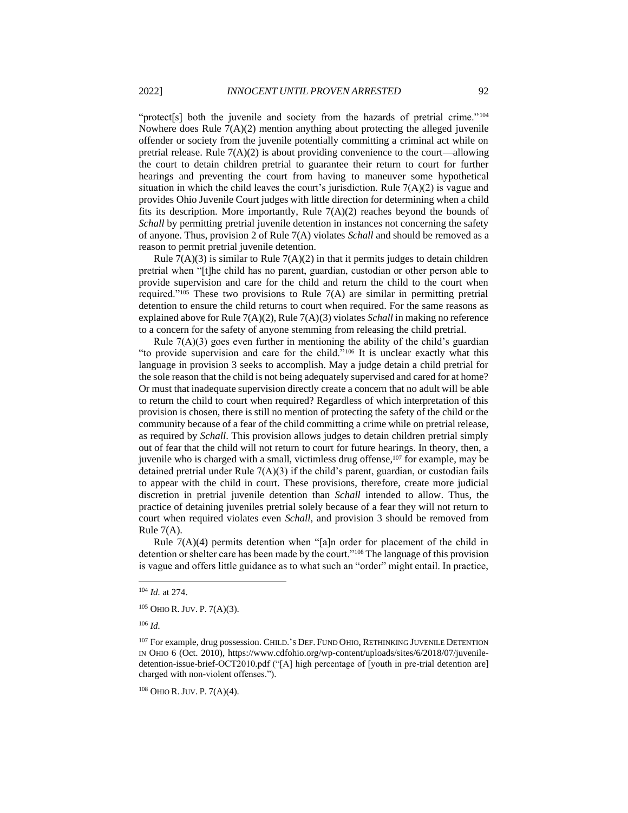"protect[s] both the juvenile and society from the hazards of pretrial crime."<sup>104</sup> Nowhere does Rule 7(A)(2) mention anything about protecting the alleged juvenile offender or society from the juvenile potentially committing a criminal act while on pretrial release. Rule  $7(A)(2)$  is about providing convenience to the court—allowing the court to detain children pretrial to guarantee their return to court for further hearings and preventing the court from having to maneuver some hypothetical situation in which the child leaves the court's jurisdiction. Rule  $7(A)(2)$  is vague and provides Ohio Juvenile Court judges with little direction for determining when a child fits its description. More importantly, Rule  $7(A)(2)$  reaches beyond the bounds of *Schall* by permitting pretrial juvenile detention in instances not concerning the safety of anyone. Thus, provision 2 of Rule 7(A) violates *Schall* and should be removed as a reason to permit pretrial juvenile detention.

Rule  $7(A)(3)$  is similar to Rule  $7(A)(2)$  in that it permits judges to detain children pretrial when "[t]he child has no parent, guardian, custodian or other person able to provide supervision and care for the child and return the child to the court when required."<sup>105</sup> These two provisions to Rule  $7(A)$  are similar in permitting pretrial detention to ensure the child returns to court when required. For the same reasons as explained above for Rule 7(A)(2), Rule 7(A)(3) violates *Schall*in making no reference to a concern for the safety of anyone stemming from releasing the child pretrial.

Rule  $7(A)(3)$  goes even further in mentioning the ability of the child's guardian "to provide supervision and care for the child."<sup>106</sup> It is unclear exactly what this language in provision 3 seeks to accomplish. May a judge detain a child pretrial for the sole reason that the child is not being adequately supervised and cared for at home? Or must that inadequate supervision directly create a concern that no adult will be able to return the child to court when required? Regardless of which interpretation of this provision is chosen, there is still no mention of protecting the safety of the child or the community because of a fear of the child committing a crime while on pretrial release, as required by *Schall*. This provision allows judges to detain children pretrial simply out of fear that the child will not return to court for future hearings. In theory, then, a juvenile who is charged with a small, victimless drug offense,<sup>107</sup> for example, may be detained pretrial under Rule  $7(A)(3)$  if the child's parent, guardian, or custodian fails to appear with the child in court. These provisions, therefore, create more judicial discretion in pretrial juvenile detention than *Schall* intended to allow. Thus, the practice of detaining juveniles pretrial solely because of a fear they will not return to court when required violates even *Schall*, and provision 3 should be removed from Rule 7(A).

Rule 7(A)(4) permits detention when "[a]n order for placement of the child in detention or shelter care has been made by the court."<sup>108</sup> The language of this provision is vague and offers little guidance as to what such an "order" might entail. In practice,

<sup>108</sup> OHIO R.JUV. P. 7(A)(4).

<sup>104</sup> *Id.* at 274.

<sup>105</sup> OHIO R.JUV. P. 7(A)(3).

<sup>106</sup> *Id.*

<sup>&</sup>lt;sup>107</sup> For example, drug possession. CHILD.'S DEF. FUND OHIO, RETHINKING JUVENILE DETENTION IN OHIO 6 (Oct. 2010), https://www.cdfohio.org/wp-content/uploads/sites/6/2018/07/juveniledetention-issue-brief-OCT2010.pdf ("[A] high percentage of [youth in pre-trial detention are] charged with non-violent offenses.").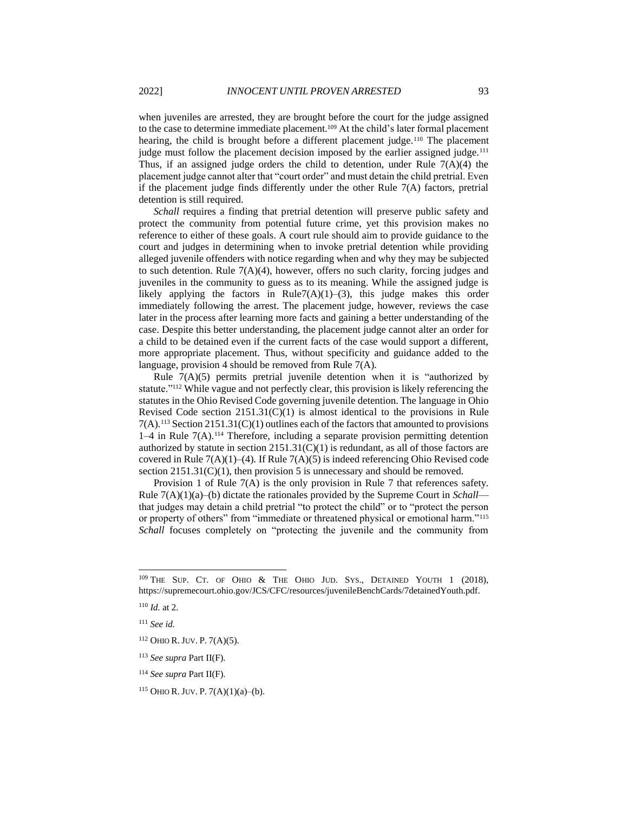when juveniles are arrested, they are brought before the court for the judge assigned to the case to determine immediate placement.<sup>109</sup> At the child's later formal placement hearing, the child is brought before a different placement judge.<sup>110</sup> The placement judge must follow the placement decision imposed by the earlier assigned judge.<sup>111</sup> Thus, if an assigned judge orders the child to detention, under Rule  $7(A)(4)$  the placement judge cannot alter that "court order" and must detain the child pretrial. Even if the placement judge finds differently under the other Rule 7(A) factors, pretrial detention is still required.

*Schall* requires a finding that pretrial detention will preserve public safety and protect the community from potential future crime, yet this provision makes no reference to either of these goals. A court rule should aim to provide guidance to the court and judges in determining when to invoke pretrial detention while providing alleged juvenile offenders with notice regarding when and why they may be subjected to such detention. Rule 7(A)(4), however, offers no such clarity, forcing judges and juveniles in the community to guess as to its meaning. While the assigned judge is likely applying the factors in Rule7(A)(1)–(3), this judge makes this order immediately following the arrest. The placement judge, however, reviews the case later in the process after learning more facts and gaining a better understanding of the case. Despite this better understanding, the placement judge cannot alter an order for a child to be detained even if the current facts of the case would support a different, more appropriate placement. Thus, without specificity and guidance added to the language, provision 4 should be removed from Rule 7(A).

Rule  $7(A)(5)$  permits pretrial juvenile detention when it is "authorized by statute."<sup>112</sup> While vague and not perfectly clear, this provision is likely referencing the statutes in the Ohio Revised Code governing juvenile detention. The language in Ohio Revised Code section 2151.31(C)(1) is almost identical to the provisions in Rule  $7(A)$ .<sup>113</sup> Section 2151.31(C)(1) outlines each of the factors that amounted to provisions  $1-4$  in Rule  $7(A)$ .<sup>114</sup> Therefore, including a separate provision permitting detention authorized by statute in section  $2151.31(C)(1)$  is redundant, as all of those factors are covered in Rule  $7(A)(1)–(4)$ . If Rule  $7(A)(5)$  is indeed referencing Ohio Revised code section  $2151.31(C)(1)$ , then provision 5 is unnecessary and should be removed.

Provision 1 of Rule 7(A) is the only provision in Rule 7 that references safety. Rule 7(A)(1)(a)–(b) dictate the rationales provided by the Supreme Court in *Schall* that judges may detain a child pretrial "to protect the child" or to "protect the person or property of others" from "immediate or threatened physical or emotional harm."<sup>115</sup> *Schall* focuses completely on "protecting the juvenile and the community from

<sup>109</sup> THE SUP. CT. OF OHIO & THE OHIO JUD. SYS., DETAINED YOUTH 1 (2018), https://supremecourt.ohio.gov/JCS/CFC/resources/juvenileBenchCards/7detainedYouth.pdf.

<sup>110</sup> *Id.* at 2.

<sup>111</sup> *See id.*

<sup>112</sup> OHIO R.JUV. P. 7(A)(5).

<sup>113</sup> *See supra* Part II(F).

<sup>114</sup> *See supra* Part II(F).

 $115$  OHIO R. JUV. P. 7(A)(1)(a)–(b).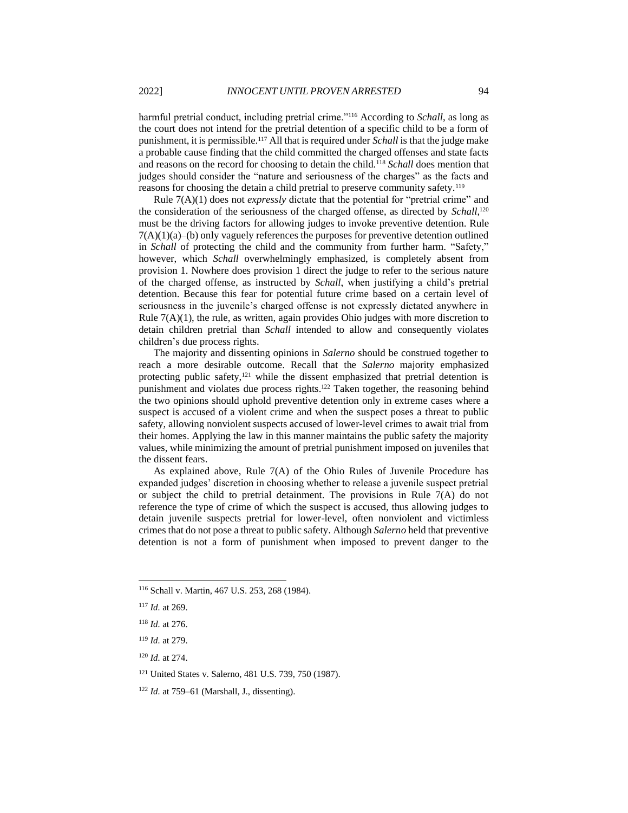harmful pretrial conduct, including pretrial crime."<sup>116</sup> According to *Schall*, as long as the court does not intend for the pretrial detention of a specific child to be a form of punishment, it is permissible.<sup>117</sup> All that is required under *Schall*is that the judge make a probable cause finding that the child committed the charged offenses and state facts and reasons on the record for choosing to detain the child.<sup>118</sup> *Schall* does mention that judges should consider the "nature and seriousness of the charges" as the facts and reasons for choosing the detain a child pretrial to preserve community safety.<sup>119</sup>

Rule 7(A)(1) does not *expressly* dictate that the potential for "pretrial crime" and the consideration of the seriousness of the charged offense, as directed by *Schall*, 120 must be the driving factors for allowing judges to invoke preventive detention. Rule  $7(A)(1)(a)$ –(b) only vaguely references the purposes for preventive detention outlined in *Schall* of protecting the child and the community from further harm. "Safety," however, which *Schall* overwhelmingly emphasized, is completely absent from provision 1. Nowhere does provision 1 direct the judge to refer to the serious nature of the charged offense, as instructed by *Schall*, when justifying a child's pretrial detention. Because this fear for potential future crime based on a certain level of seriousness in the juvenile's charged offense is not expressly dictated anywhere in Rule 7(A)(1), the rule, as written, again provides Ohio judges with more discretion to detain children pretrial than *Schall* intended to allow and consequently violates children's due process rights.

The majority and dissenting opinions in *Salerno* should be construed together to reach a more desirable outcome. Recall that the *Salerno* majority emphasized protecting public safety,<sup>121</sup> while the dissent emphasized that pretrial detention is punishment and violates due process rights.<sup>122</sup> Taken together, the reasoning behind the two opinions should uphold preventive detention only in extreme cases where a suspect is accused of a violent crime and when the suspect poses a threat to public safety, allowing nonviolent suspects accused of lower-level crimes to await trial from their homes. Applying the law in this manner maintains the public safety the majority values, while minimizing the amount of pretrial punishment imposed on juveniles that the dissent fears.

As explained above, Rule 7(A) of the Ohio Rules of Juvenile Procedure has expanded judges' discretion in choosing whether to release a juvenile suspect pretrial or subject the child to pretrial detainment. The provisions in Rule 7(A) do not reference the type of crime of which the suspect is accused, thus allowing judges to detain juvenile suspects pretrial for lower-level, often nonviolent and victimless crimes that do not pose a threat to public safety. Although *Salerno* held that preventive detention is not a form of punishment when imposed to prevent danger to the

<sup>116</sup> Schall v. Martin, 467 U.S. 253, 268 (1984).

<sup>120</sup> *Id.* at 274.

<sup>121</sup> United States v. Salerno, 481 U.S. 739, 750 (1987).

<sup>122</sup> *Id.* at 759–61 (Marshall, J., dissenting).

<sup>117</sup> *Id.* at 269.

<sup>118</sup> *Id.* at 276.

<sup>119</sup> *Id.* at 279.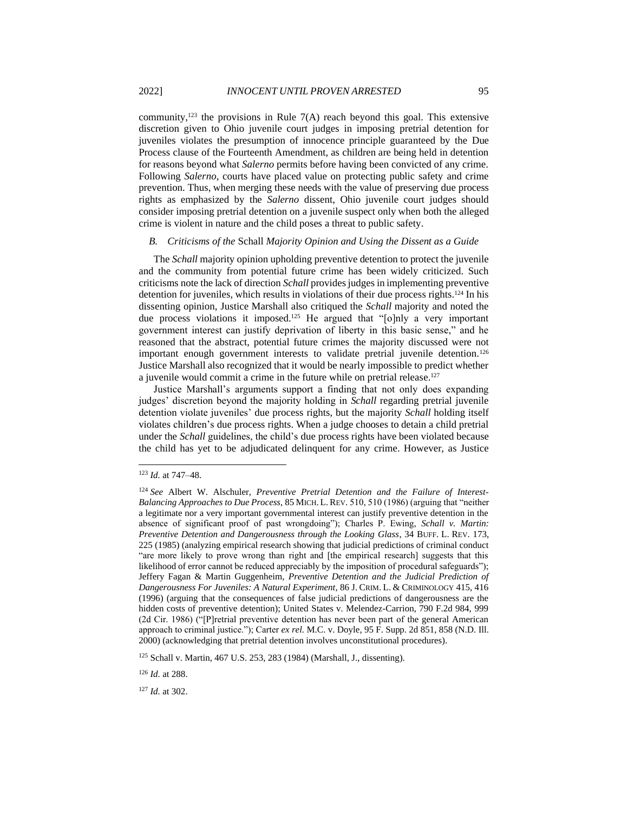community,<sup>123</sup> the provisions in Rule  $7(A)$  reach beyond this goal. This extensive discretion given to Ohio juvenile court judges in imposing pretrial detention for juveniles violates the presumption of innocence principle guaranteed by the Due Process clause of the Fourteenth Amendment, as children are being held in detention for reasons beyond what *Salerno* permits before having been convicted of any crime. Following *Salerno*, courts have placed value on protecting public safety and crime prevention. Thus, when merging these needs with the value of preserving due process rights as emphasized by the *Salerno* dissent, Ohio juvenile court judges should consider imposing pretrial detention on a juvenile suspect only when both the alleged crime is violent in nature and the child poses a threat to public safety.

#### *B. Criticisms of the* Schall *Majority Opinion and Using the Dissent as a Guide*

The *Schall* majority opinion upholding preventive detention to protect the juvenile and the community from potential future crime has been widely criticized. Such criticisms note the lack of direction *Schall* provides judges in implementing preventive detention for juveniles, which results in violations of their due process rights.<sup>124</sup> In his dissenting opinion, Justice Marshall also critiqued the *Schall* majority and noted the due process violations it imposed.<sup>125</sup> He argued that "[o]nly a very important government interest can justify deprivation of liberty in this basic sense," and he reasoned that the abstract, potential future crimes the majority discussed were not important enough government interests to validate pretrial juvenile detention.<sup>126</sup> Justice Marshall also recognized that it would be nearly impossible to predict whether a juvenile would commit a crime in the future while on pretrial release.<sup>127</sup>

Justice Marshall's arguments support a finding that not only does expanding judges' discretion beyond the majority holding in *Schall* regarding pretrial juvenile detention violate juveniles' due process rights, but the majority *Schall* holding itself violates children's due process rights. When a judge chooses to detain a child pretrial under the *Schall* guidelines, the child's due process rights have been violated because the child has yet to be adjudicated delinquent for any crime. However, as Justice

<sup>125</sup> Schall v. Martin, 467 U.S. 253, 283 (1984) (Marshall, J., dissenting).

<sup>126</sup> *Id.* at 288.

<sup>127</sup> *Id.* at 302.

<sup>123</sup> *Id.* at 747–48.

<sup>124</sup> *See* Albert W. Alschuler, *Preventive Pretrial Detention and the Failure of Interest-Balancing Approaches to Due Process*, 85 MICH. L.REV. 510, 510 (1986) (arguing that "neither a legitimate nor a very important governmental interest can justify preventive detention in the absence of significant proof of past wrongdoing"); Charles P. Ewing, *Schall v. Martin: Preventive Detention and Dangerousness through the Looking Glass*, 34 BUFF. L. REV. 173, 225 (1985) (analyzing empirical research showing that judicial predictions of criminal conduct "are more likely to prove wrong than right and [the empirical research] suggests that this likelihood of error cannot be reduced appreciably by the imposition of procedural safeguards"); Jeffery Fagan & Martin Guggenheim, *Preventive Detention and the Judicial Prediction of Dangerousness For Juveniles: A Natural Experiment*, 86 J. CRIM. L. & CRIMINOLOGY 415, 416 (1996) (arguing that the consequences of false judicial predictions of dangerousness are the hidden costs of preventive detention); United States v. Melendez-Carrion, 790 F.2d 984, 999 (2d Cir. 1986) ("[P]retrial preventive detention has never been part of the general American approach to criminal justice."); Carter *ex rel.* M.C. v. Doyle, 95 F. Supp. 2d 851, 858 (N.D. Ill. 2000) (acknowledging that pretrial detention involves unconstitutional procedures).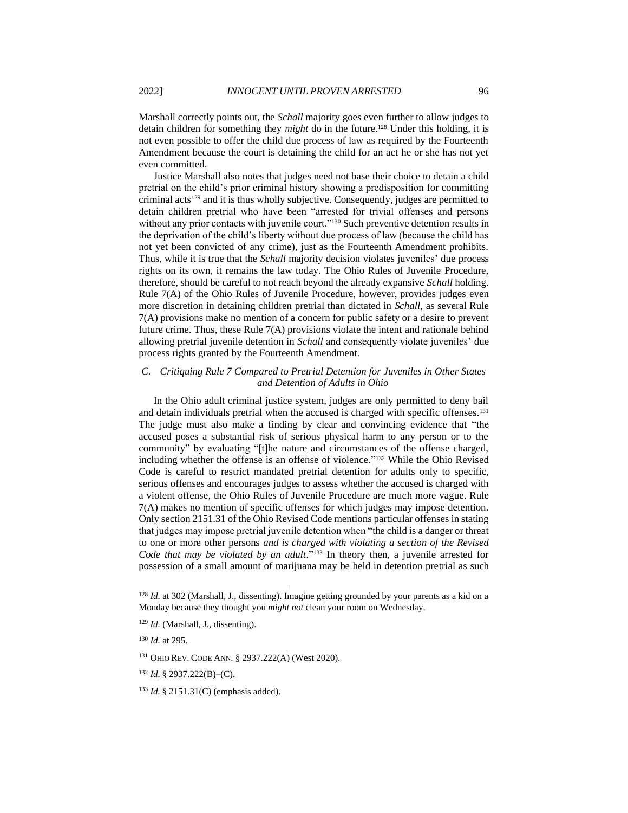Marshall correctly points out, the *Schall* majority goes even further to allow judges to detain children for something they *might* do in the future.<sup>128</sup> Under this holding, it is not even possible to offer the child due process of law as required by the Fourteenth Amendment because the court is detaining the child for an act he or she has not yet even committed.

Justice Marshall also notes that judges need not base their choice to detain a child pretrial on the child's prior criminal history showing a predisposition for committing criminal acts<sup>129</sup> and it is thus wholly subjective. Consequently, judges are permitted to detain children pretrial who have been "arrested for trivial offenses and persons without any prior contacts with juvenile court."<sup>130</sup> Such preventive detention results in the deprivation of the child's liberty without due process of law (because the child has not yet been convicted of any crime), just as the Fourteenth Amendment prohibits. Thus, while it is true that the *Schall* majority decision violates juveniles' due process rights on its own, it remains the law today. The Ohio Rules of Juvenile Procedure, therefore, should be careful to not reach beyond the already expansive *Schall* holding. Rule 7(A) of the Ohio Rules of Juvenile Procedure, however, provides judges even more discretion in detaining children pretrial than dictated in *Schall*, as several Rule 7(A) provisions make no mention of a concern for public safety or a desire to prevent future crime. Thus, these Rule 7(A) provisions violate the intent and rationale behind allowing pretrial juvenile detention in *Schall* and consequently violate juveniles' due process rights granted by the Fourteenth Amendment.

# *C. Critiquing Rule 7 Compared to Pretrial Detention for Juveniles in Other States and Detention of Adults in Ohio*

In the Ohio adult criminal justice system, judges are only permitted to deny bail and detain individuals pretrial when the accused is charged with specific offenses.<sup>131</sup> The judge must also make a finding by clear and convincing evidence that "the accused poses a substantial risk of serious physical harm to any person or to the community" by evaluating "[t]he nature and circumstances of the offense charged, including whether the offense is an offense of violence."<sup>132</sup> While the Ohio Revised Code is careful to restrict mandated pretrial detention for adults only to specific, serious offenses and encourages judges to assess whether the accused is charged with a violent offense, the Ohio Rules of Juvenile Procedure are much more vague. Rule 7(A) makes no mention of specific offenses for which judges may impose detention. Only section 2151.31 of the Ohio Revised Code mentions particular offenses in stating that judges may impose pretrial juvenile detention when "the child is a danger or threat to one or more other persons *and is charged with violating a section of the Revised Code that may be violated by an adult*."<sup>133</sup> In theory then, a juvenile arrested for possession of a small amount of marijuana may be held in detention pretrial as such

<sup>&</sup>lt;sup>128</sup> *Id.* at 302 (Marshall, J., dissenting). Imagine getting grounded by your parents as a kid on a Monday because they thought you *might not* clean your room on Wednesday.

<sup>129</sup> *Id.* (Marshall, J., dissenting).

<sup>130</sup> *Id.* at 295.

<sup>131</sup> OHIO REV. CODE ANN. § 2937.222(A) (West 2020).

<sup>132</sup> *Id.* § 2937.222(B)–(C).

<sup>133</sup> *Id.* § 2151.31(C) (emphasis added).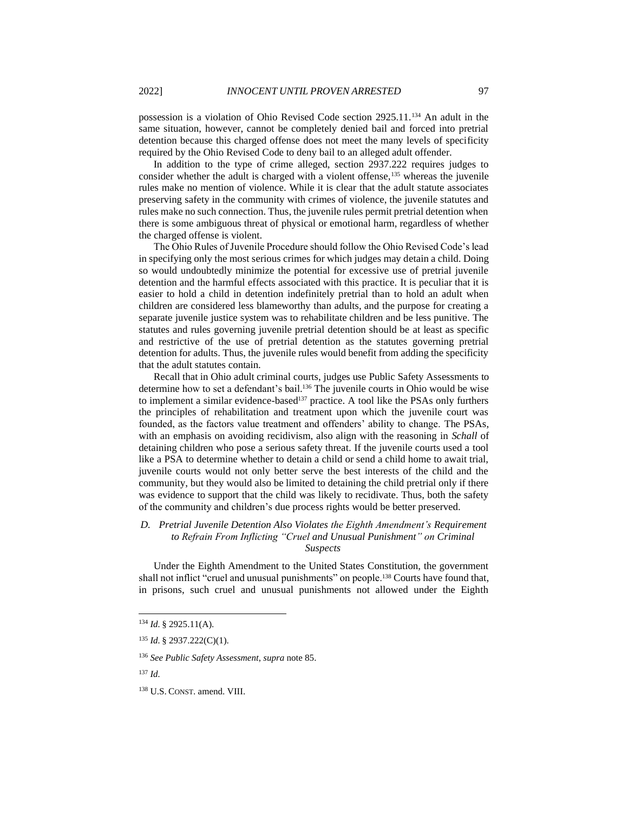possession is a violation of Ohio Revised Code section 2925.11.<sup>134</sup> An adult in the same situation, however, cannot be completely denied bail and forced into pretrial detention because this charged offense does not meet the many levels of specificity required by the Ohio Revised Code to deny bail to an alleged adult offender.

In addition to the type of crime alleged, section 2937.222 requires judges to consider whether the adult is charged with a violent offense,<sup>135</sup> whereas the juvenile rules make no mention of violence. While it is clear that the adult statute associates preserving safety in the community with crimes of violence, the juvenile statutes and rules make no such connection. Thus, the juvenile rules permit pretrial detention when there is some ambiguous threat of physical or emotional harm, regardless of whether the charged offense is violent.

The Ohio Rules of Juvenile Procedure should follow the Ohio Revised Code's lead in specifying only the most serious crimes for which judges may detain a child. Doing so would undoubtedly minimize the potential for excessive use of pretrial juvenile detention and the harmful effects associated with this practice. It is peculiar that it is easier to hold a child in detention indefinitely pretrial than to hold an adult when children are considered less blameworthy than adults, and the purpose for creating a separate juvenile justice system was to rehabilitate children and be less punitive. The statutes and rules governing juvenile pretrial detention should be at least as specific and restrictive of the use of pretrial detention as the statutes governing pretrial detention for adults. Thus, the juvenile rules would benefit from adding the specificity that the adult statutes contain.

Recall that in Ohio adult criminal courts, judges use Public Safety Assessments to determine how to set a defendant's bail. <sup>136</sup> The juvenile courts in Ohio would be wise to implement a similar evidence-based<sup>137</sup> practice. A tool like the PSAs only furthers the principles of rehabilitation and treatment upon which the juvenile court was founded, as the factors value treatment and offenders' ability to change. The PSAs, with an emphasis on avoiding recidivism, also align with the reasoning in *Schall* of detaining children who pose a serious safety threat. If the juvenile courts used a tool like a PSA to determine whether to detain a child or send a child home to await trial, juvenile courts would not only better serve the best interests of the child and the community, but they would also be limited to detaining the child pretrial only if there was evidence to support that the child was likely to recidivate. Thus, both the safety of the community and children's due process rights would be better preserved.

# *D. Pretrial Juvenile Detention Also Violates the Eighth Amendment's Requirement to Refrain From Inflicting "Cruel and Unusual Punishment" on Criminal*

*Suspects*

Under the Eighth Amendment to the United States Constitution, the government shall not inflict "cruel and unusual punishments" on people.<sup>138</sup> Courts have found that, in prisons, such cruel and unusual punishments not allowed under the Eighth

<sup>134</sup> *Id.* § 2925.11(A).

<sup>135</sup> *Id.* § 2937.222(C)(1).

<sup>136</sup> *See Public Safety Assessment*, *supra* not[e 85.](#page-10-0)

<sup>138</sup> U.S. CONST. amend. VIII.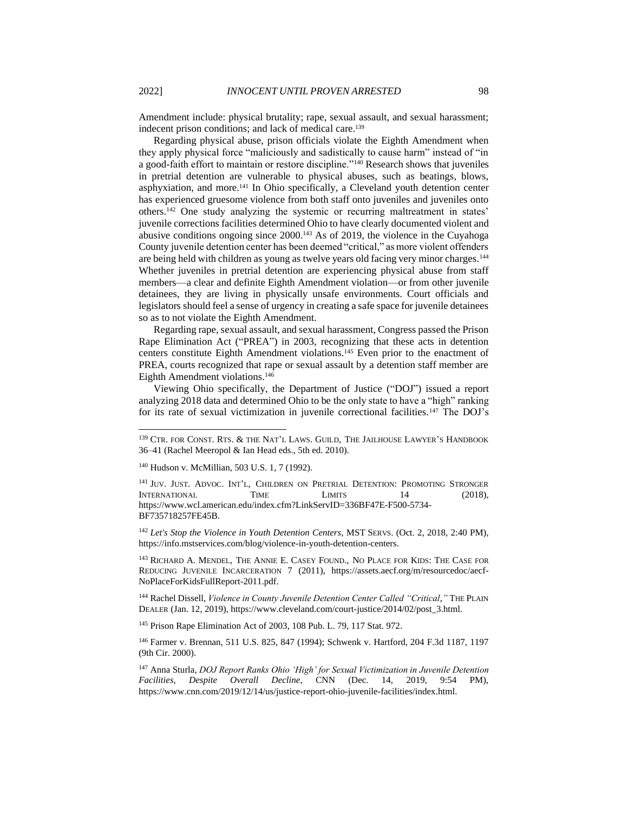<span id="page-19-3"></span>Amendment include: physical brutality; rape, sexual assault, and sexual harassment; indecent prison conditions; and lack of medical care.<sup>139</sup>

<span id="page-19-2"></span><span id="page-19-1"></span>Regarding physical abuse, prison officials violate the Eighth Amendment when they apply physical force "maliciously and sadistically to cause harm" instead of "in a good-faith effort to maintain or restore discipline."<sup>140</sup> Research shows that juveniles in pretrial detention are vulnerable to physical abuses, such as beatings, blows, asphyxiation, and more.<sup>141</sup> In Ohio specifically, a Cleveland youth detention center has experienced gruesome violence from both staff onto juveniles and juveniles onto others.<sup>142</sup> One study analyzing the systemic or recurring maltreatment in states' juvenile corrections facilities determined Ohio to have clearly documented violent and abusive conditions ongoing since 2000.<sup>143</sup> As of 2019, the violence in the Cuyahoga County juvenile detention center has been deemed "critical," as more violent offenders are being held with children as young as twelve years old facing very minor charges.<sup>144</sup> Whether juveniles in pretrial detention are experiencing physical abuse from staff members—a clear and definite Eighth Amendment violation—or from other juvenile detainees, they are living in physically unsafe environments. Court officials and legislators should feel a sense of urgency in creating a safe space for juvenile detainees so as to not violate the Eighth Amendment.

<span id="page-19-0"></span>Regarding rape, sexual assault, and sexual harassment, Congress passed the Prison Rape Elimination Act ("PREA") in 2003, recognizing that these acts in detention centers constitute Eighth Amendment violations.<sup>145</sup> Even prior to the enactment of PREA, courts recognized that rape or sexual assault by a detention staff member are Eighth Amendment violations.<sup>146</sup>

Viewing Ohio specifically, the Department of Justice ("DOJ") issued a report analyzing 2018 data and determined Ohio to be the only state to have a "high" ranking for its rate of sexual victimization in juvenile correctional facilities.<sup>147</sup> The DOJ's

<sup>142</sup> *Let's Stop the Violence in Youth Detention Centers*, MST SERVS. (Oct. 2, 2018, 2:40 PM), https://info.mstservices.com/blog/violence-in-youth-detention-centers.

<sup>143</sup> RICHARD A. MENDEL, THE ANNIE E. CASEY FOUND., NO PLACE FOR KIDS: THE CASE FOR REDUCING JUVENILE INCARCERATION 7 (2011), https://assets.aecf.org/m/resourcedoc/aecf-NoPlaceForKidsFullReport-2011.pdf.

<sup>144</sup> Rachel Dissell, *Violence in County Juvenile Detention Center Called "Critical*,*"* THE PLAIN DEALER (Jan. 12, 2019), https://www.cleveland.com/court-justice/2014/02/post\_3.html.

<sup>145</sup> Prison Rape Elimination Act of 2003, 108 Pub. L. 79, 117 Stat. 972.

<sup>146</sup> Farmer v. Brennan, 511 U.S. 825, 847 (1994); Schwenk v. Hartford, 204 F.3d 1187, 1197 (9th Cir. 2000).

<sup>147</sup> Anna Sturla, *DOJ Report Ranks Ohio 'High' for Sexual Victimization in Juvenile Detention Facilities, Despite Overall Decline*, CNN (Dec. 14, 2019, 9:54 PM), https://www.cnn.com/2019/12/14/us/justice-report-ohio-juvenile-facilities/index.html.

<sup>139</sup> CTR. FOR CONST. RTS. & THE NAT'L LAWS. GUILD, THE JAILHOUSE LAWYER'S HANDBOOK 36–41 (Rachel Meeropol & Ian Head eds., 5th ed. 2010).

<sup>140</sup> Hudson v. McMillian, 503 U.S. 1, 7 (1992).

<sup>&</sup>lt;sup>141</sup> JUV. JUST. ADVOC. INT'L, CHILDREN ON PRETRIAL DETENTION: PROMOTING STRONGER INTERNATIONAL TIME LIMITS 14 (2018), https://www.wcl.american.edu/index.cfm?LinkServID=336BF47E-F500-5734- BF735718257FE45B.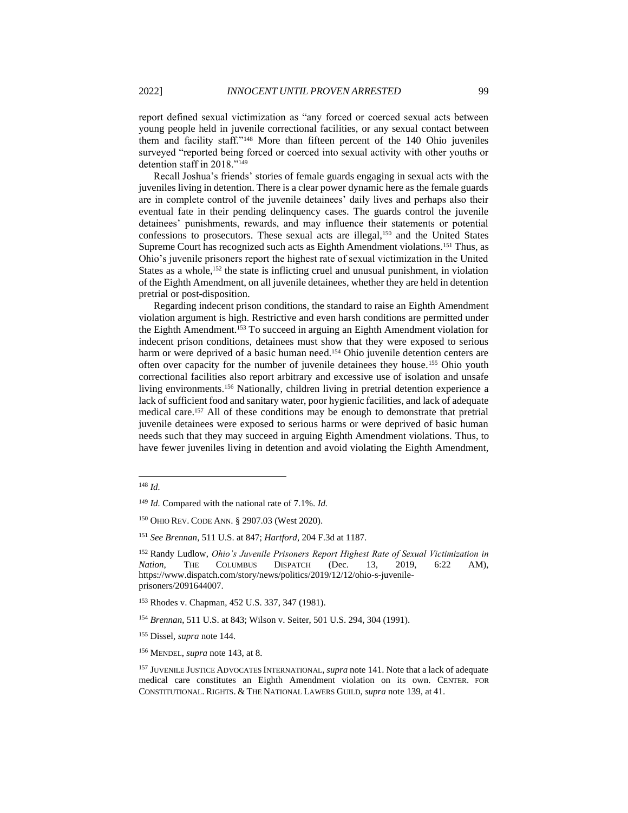report defined sexual victimization as "any forced or coerced sexual acts between young people held in juvenile correctional facilities, or any sexual contact between them and facility staff."<sup>148</sup> More than fifteen percent of the 140 Ohio juveniles surveyed "reported being forced or coerced into sexual activity with other youths or detention staff in 2018."<sup>149</sup>

Recall Joshua's friends' stories of female guards engaging in sexual acts with the juveniles living in detention. There is a clear power dynamic here as the female guards are in complete control of the juvenile detainees' daily lives and perhaps also their eventual fate in their pending delinquency cases. The guards control the juvenile detainees' punishments, rewards, and may influence their statements or potential confessions to prosecutors. These sexual acts are illegal,<sup>150</sup> and the United States Supreme Court has recognized such acts as Eighth Amendment violations.<sup>151</sup> Thus, as Ohio's juvenile prisoners report the highest rate of sexual victimization in the United States as a whole,<sup>152</sup> the state is inflicting cruel and unusual punishment, in violation of the Eighth Amendment, on all juvenile detainees, whether they are held in detention pretrial or post-disposition.

Regarding indecent prison conditions, the standard to raise an Eighth Amendment violation argument is high. Restrictive and even harsh conditions are permitted under the Eighth Amendment.<sup>153</sup> To succeed in arguing an Eighth Amendment violation for indecent prison conditions, detainees must show that they were exposed to serious harm or were deprived of a basic human need.<sup>154</sup> Ohio juvenile detention centers are often over capacity for the number of juvenile detainees they house.<sup>155</sup> Ohio youth correctional facilities also report arbitrary and excessive use of isolation and unsafe living environments.<sup>156</sup> Nationally, children living in pretrial detention experience a lack of sufficient food and sanitary water, poor hygienic facilities, and lack of adequate medical care.<sup>157</sup> All of these conditions may be enough to demonstrate that pretrial juvenile detainees were exposed to serious harms or were deprived of basic human needs such that they may succeed in arguing Eighth Amendment violations. Thus, to have fewer juveniles living in detention and avoid violating the Eighth Amendment,

<sup>148</sup> *Id.*

<sup>149</sup> *Id.* Compared with the national rate of 7.1%. *Id.*

<sup>150</sup> OHIO REV. CODE ANN. § 2907.03 (West 2020).

<sup>151</sup> *See Brennan*, 511 U.S. at 847; *Hartford*, 204 F.3d at 1187.

<sup>152</sup> Randy Ludlow, *Ohio's Juvenile Prisoners Report Highest Rate of Sexual Victimization in Nation*, THE COLUMBUS DISPATCH (Dec. 13, 2019, 6:22 AM), https://www.dispatch.com/story/news/politics/2019/12/12/ohio-s-juvenileprisoners/2091644007.

<sup>153</sup> Rhodes v. Chapman, 452 U.S. 337, 347 (1981).

<sup>154</sup> *Brennan*, 511 U.S. at 843; Wilson v. Seiter, 501 U.S. 294, 304 (1991).

<sup>155</sup> Dissel, *supra* note [144.](#page-19-0)

<sup>156</sup> MENDEL, *supra* not[e 143,](#page-19-1) at 8.

<sup>157</sup> JUVENILE JUSTICE ADVOCATES INTERNATIONAL, *supra* note [141.](#page-19-2) Note that a lack of adequate medical care constitutes an Eighth Amendment violation on its own. CENTER. FOR CONSTITUTIONAL. RIGHTS. & THE NATIONAL LAWERS GUILD, *supra* not[e 139,](#page-19-3) at 41.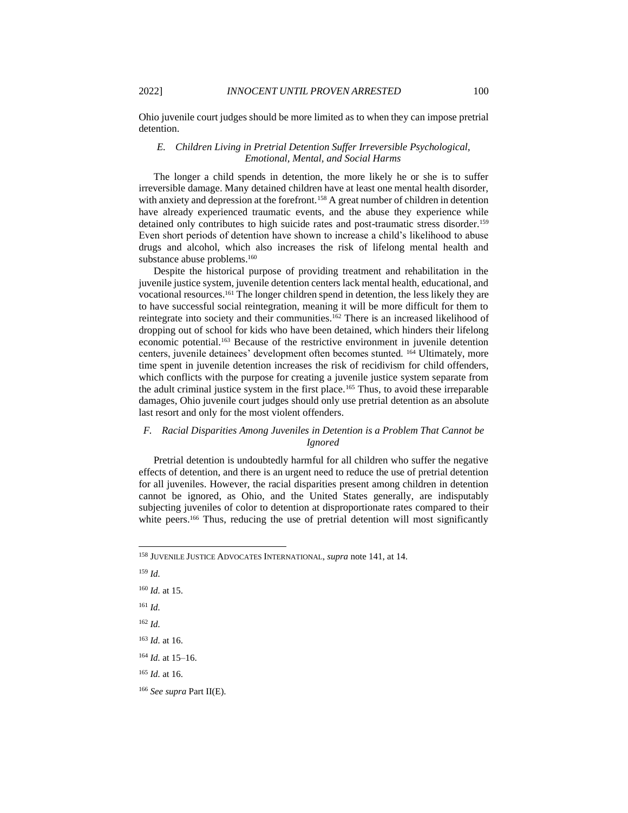Ohio juvenile court judges should be more limited as to when they can impose pretrial detention.

# *E. Children Living in Pretrial Detention Suffer Irreversible Psychological, Emotional, Mental, and Social Harms*

The longer a child spends in detention, the more likely he or she is to suffer irreversible damage. Many detained children have at least one mental health disorder, with anxiety and depression at the forefront.<sup>158</sup> A great number of children in detention have already experienced traumatic events, and the abuse they experience while detained only contributes to high suicide rates and post-traumatic stress disorder.<sup>159</sup> Even short periods of detention have shown to increase a child's likelihood to abuse drugs and alcohol, which also increases the risk of lifelong mental health and substance abuse problems.<sup>160</sup>

Despite the historical purpose of providing treatment and rehabilitation in the juvenile justice system, juvenile detention centers lack mental health, educational, and vocational resources.<sup>161</sup> The longer children spend in detention, the less likely they are to have successful social reintegration, meaning it will be more difficult for them to reintegrate into society and their communities.<sup>162</sup> There is an increased likelihood of dropping out of school for kids who have been detained, which hinders their lifelong economic potential.<sup>163</sup> Because of the restrictive environment in juvenile detention centers, juvenile detainees' development often becomes stunted. <sup>164</sup> Ultimately, more time spent in juvenile detention increases the risk of recidivism for child offenders, which conflicts with the purpose for creating a juvenile justice system separate from the adult criminal justice system in the first place.<sup>165</sup> Thus, to avoid these irreparable damages, Ohio juvenile court judges should only use pretrial detention as an absolute last resort and only for the most violent offenders.

# *F. Racial Disparities Among Juveniles in Detention is a Problem That Cannot be Ignored*

Pretrial detention is undoubtedly harmful for all children who suffer the negative effects of detention, and there is an urgent need to reduce the use of pretrial detention for all juveniles. However, the racial disparities present among children in detention cannot be ignored, as Ohio, and the United States generally, are indisputably subjecting juveniles of color to detention at disproportionate rates compared to their white peers.<sup>166</sup> Thus, reducing the use of pretrial detention will most significantly

<sup>165</sup> *Id.* at 16.

<sup>166</sup> *See supra* Part II(E).

<sup>158</sup> JUVENILE JUSTICE ADVOCATES INTERNATIONAL, *supra* note [141,](#page-19-2) at 14.

<sup>159</sup> *Id.*

<sup>160</sup> *Id.* at 15.

<sup>161</sup> *Id.*

<sup>162</sup> *Id.*

<sup>163</sup> *Id.* at 16.

<sup>164</sup> *Id.* at 15–16.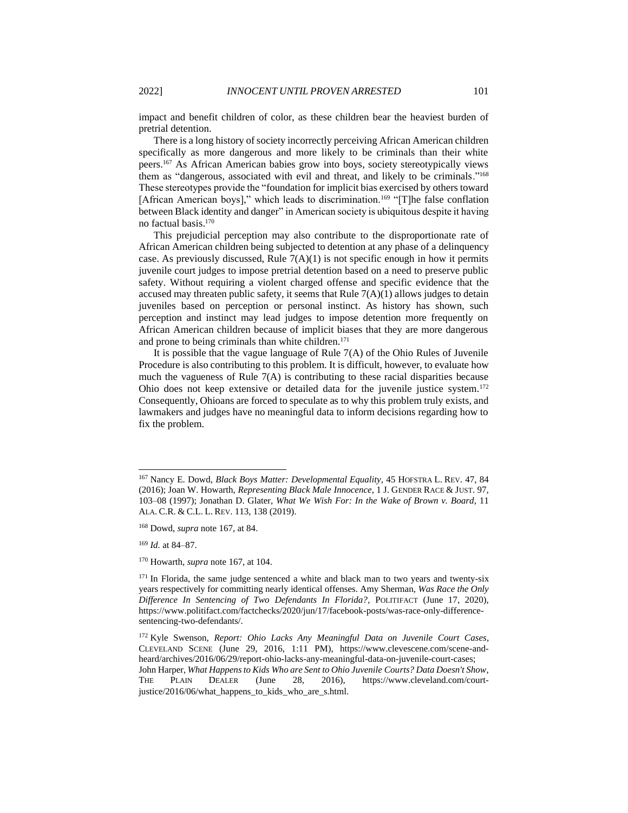impact and benefit children of color, as these children bear the heaviest burden of pretrial detention.

<span id="page-22-0"></span>There is a long history of society incorrectly perceiving African American children specifically as more dangerous and more likely to be criminals than their white peers.<sup>167</sup> As African American babies grow into boys, society stereotypically views them as "dangerous, associated with evil and threat, and likely to be criminals."<sup>168</sup> These stereotypes provide the "foundation for implicit bias exercised by others toward [African American boys]," which leads to discrimination.<sup>169</sup> "[T]he false conflation between Black identity and danger" in American society is ubiquitous despite it having no factual basis.<sup>170</sup>

This prejudicial perception may also contribute to the disproportionate rate of African American children being subjected to detention at any phase of a delinquency case. As previously discussed, Rule  $7(A)(1)$  is not specific enough in how it permits juvenile court judges to impose pretrial detention based on a need to preserve public safety. Without requiring a violent charged offense and specific evidence that the accused may threaten public safety, it seems that Rule  $7(A)(1)$  allows judges to detain juveniles based on perception or personal instinct. As history has shown, such perception and instinct may lead judges to impose detention more frequently on African American children because of implicit biases that they are more dangerous and prone to being criminals than white children.<sup>171</sup>

It is possible that the vague language of Rule  $7(A)$  of the Ohio Rules of Juvenile Procedure is also contributing to this problem. It is difficult, however, to evaluate how much the vagueness of Rule 7(A) is contributing to these racial disparities because Ohio does not keep extensive or detailed data for the juvenile justice system.<sup>172</sup> Consequently, Ohioans are forced to speculate as to why this problem truly exists, and lawmakers and judges have no meaningful data to inform decisions regarding how to fix the problem.

<sup>169</sup> *Id.* at 84–87.

<sup>167</sup> Nancy E. Dowd, *Black Boys Matter: Developmental Equality*, 45 HOFSTRA L. REV. 47, 84 (2016); Joan W. Howarth, *Representing Black Male Innocence*, 1 J. GENDER RACE & JUST. 97, 103–08 (1997); Jonathan D. Glater, *What We Wish For: In the Wake of Brown v. Board*, 11 ALA. C.R. & C.L. L. REV. 113, 138 (2019).

<sup>168</sup> Dowd, *supra* not[e 167,](#page-22-0) at 84.

<sup>170</sup> Howarth, *supra* note [167,](#page-22-0) at 104.

<sup>&</sup>lt;sup>171</sup> In Florida, the same judge sentenced a white and black man to two years and twenty-six years respectively for committing nearly identical offenses. Amy Sherman, *Was Race the Only Difference In Sentencing of Two Defendants In Florida?*, POLITIFACT (June 17, 2020), https://www.politifact.com/factchecks/2020/jun/17/facebook-posts/was-race-only-differencesentencing-two-defendants/.

<sup>172</sup> Kyle Swenson, *Report: Ohio Lacks Any Meaningful Data on Juvenile Court Cases*, CLEVELAND SCENE (June 29, 2016, 1:11 PM), https://www.clevescene.com/scene-andheard/archives/2016/06/29/report-ohio-lacks-any-meaningful-data-on-juvenile-court-cases; John Harper, *What Happens to Kids Who are Sent to Ohio Juvenile Courts? Data Doesn't Show*, THE PLAIN DEALER (June 28, 2016), https://www.cleveland.com/courtjustice/2016/06/what\_happens\_to\_kids\_who\_are\_s.html.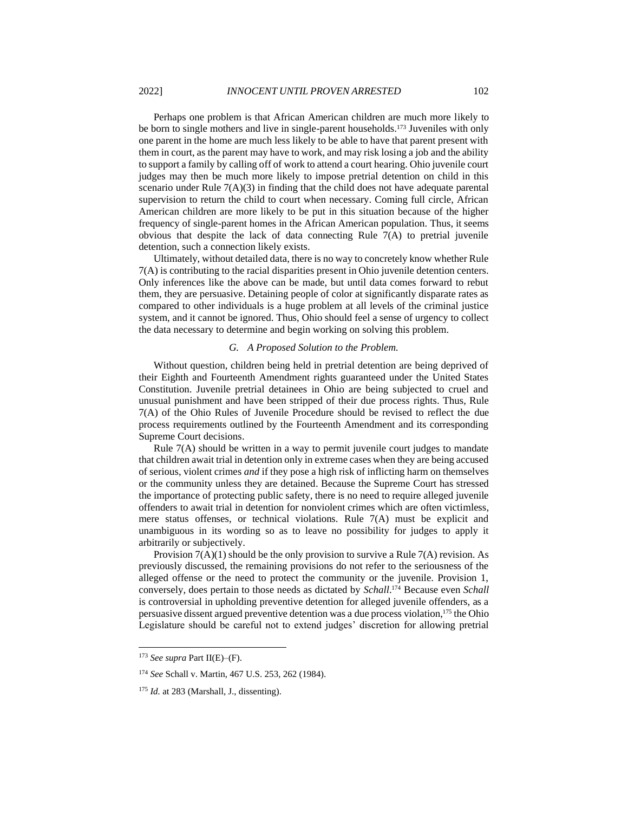Perhaps one problem is that African American children are much more likely to be born to single mothers and live in single-parent households.<sup>173</sup> Juveniles with only one parent in the home are much less likely to be able to have that parent present with them in court, as the parent may have to work, and may risk losing a job and the ability to support a family by calling off of work to attend a court hearing. Ohio juvenile court judges may then be much more likely to impose pretrial detention on child in this scenario under Rule  $7(A)(3)$  in finding that the child does not have adequate parental supervision to return the child to court when necessary. Coming full circle, African American children are more likely to be put in this situation because of the higher frequency of single-parent homes in the African American population. Thus, it seems obvious that despite the lack of data connecting Rule 7(A) to pretrial juvenile detention, such a connection likely exists.

Ultimately, without detailed data, there is no way to concretely know whether Rule 7(A) is contributing to the racial disparities present in Ohio juvenile detention centers. Only inferences like the above can be made, but until data comes forward to rebut them, they are persuasive. Detaining people of color at significantly disparate rates as compared to other individuals is a huge problem at all levels of the criminal justice system, and it cannot be ignored. Thus, Ohio should feel a sense of urgency to collect the data necessary to determine and begin working on solving this problem.

#### *G. A Proposed Solution to the Problem.*

Without question, children being held in pretrial detention are being deprived of their Eighth and Fourteenth Amendment rights guaranteed under the United States Constitution. Juvenile pretrial detainees in Ohio are being subjected to cruel and unusual punishment and have been stripped of their due process rights. Thus, Rule 7(A) of the Ohio Rules of Juvenile Procedure should be revised to reflect the due process requirements outlined by the Fourteenth Amendment and its corresponding Supreme Court decisions.

Rule  $7(A)$  should be written in a way to permit juvenile court judges to mandate that children await trial in detention only in extreme cases when they are being accused of serious, violent crimes *and* if they pose a high risk of inflicting harm on themselves or the community unless they are detained. Because the Supreme Court has stressed the importance of protecting public safety, there is no need to require alleged juvenile offenders to await trial in detention for nonviolent crimes which are often victimless, mere status offenses, or technical violations. Rule 7(A) must be explicit and unambiguous in its wording so as to leave no possibility for judges to apply it arbitrarily or subjectively.

Provision  $7(A)(1)$  should be the only provision to survive a Rule  $7(A)$  revision. As previously discussed, the remaining provisions do not refer to the seriousness of the alleged offense or the need to protect the community or the juvenile. Provision 1, conversely, does pertain to those needs as dictated by *Schall*. <sup>174</sup> Because even *Schall* is controversial in upholding preventive detention for alleged juvenile offenders, as a persuasive dissent argued preventive detention was a due process violation,<sup>175</sup> the Ohio Legislature should be careful not to extend judges' discretion for allowing pretrial

<sup>173</sup> *See supra* Part II(E)–(F).

<sup>174</sup> *See* Schall v. Martin, 467 U.S. 253, 262 (1984).

<sup>175</sup> *Id.* at 283 (Marshall, J., dissenting).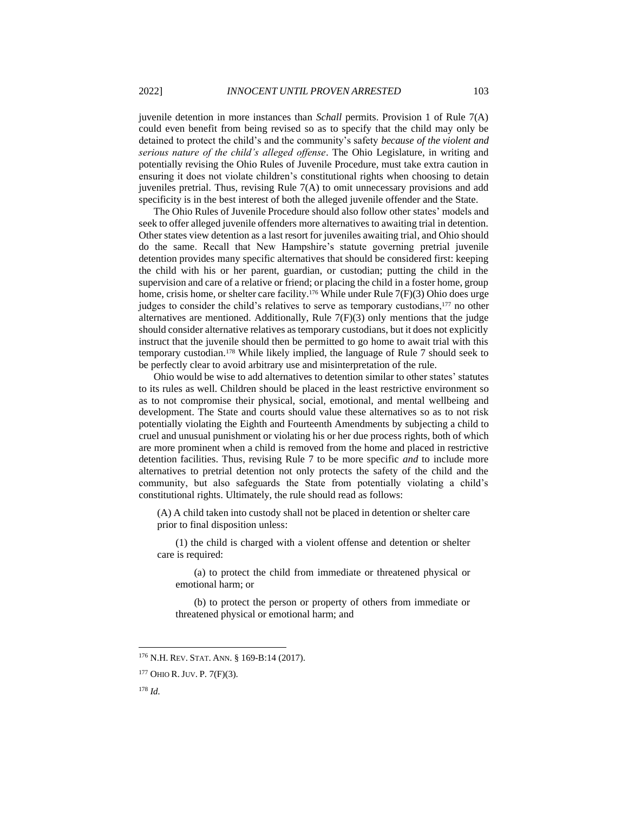juvenile detention in more instances than *Schall* permits. Provision 1 of Rule 7(A) could even benefit from being revised so as to specify that the child may only be detained to protect the child's and the community's safety *because of the violent and serious nature of the child's alleged offense*. The Ohio Legislature, in writing and potentially revising the Ohio Rules of Juvenile Procedure, must take extra caution in ensuring it does not violate children's constitutional rights when choosing to detain juveniles pretrial. Thus, revising Rule  $7(A)$  to omit unnecessary provisions and add specificity is in the best interest of both the alleged juvenile offender and the State.

The Ohio Rules of Juvenile Procedure should also follow other states' models and seek to offer alleged juvenile offenders more alternatives to awaiting trial in detention. Other states view detention as a last resort for juveniles awaiting trial, and Ohio should do the same. Recall that New Hampshire's statute governing pretrial juvenile detention provides many specific alternatives that should be considered first: keeping the child with his or her parent, guardian, or custodian; putting the child in the supervision and care of a relative or friend; or placing the child in a foster home, group home, crisis home, or shelter care facility.<sup>176</sup> While under Rule 7(F)(3) Ohio does urge judges to consider the child's relatives to serve as temporary custodians,<sup>177</sup> no other alternatives are mentioned. Additionally, Rule 7(F)(3) only mentions that the judge should consider alternative relatives as temporary custodians, but it does not explicitly instruct that the juvenile should then be permitted to go home to await trial with this temporary custodian.<sup>178</sup> While likely implied, the language of Rule 7 should seek to be perfectly clear to avoid arbitrary use and misinterpretation of the rule.

Ohio would be wise to add alternatives to detention similar to other states' statutes to its rules as well. Children should be placed in the least restrictive environment so as to not compromise their physical, social, emotional, and mental wellbeing and development. The State and courts should value these alternatives so as to not risk potentially violating the Eighth and Fourteenth Amendments by subjecting a child to cruel and unusual punishment or violating his or her due process rights, both of which are more prominent when a child is removed from the home and placed in restrictive detention facilities. Thus, revising Rule 7 to be more specific *and* to include more alternatives to pretrial detention not only protects the safety of the child and the community, but also safeguards the State from potentially violating a child's constitutional rights. Ultimately, the rule should read as follows:

(A) A child taken into custody shall not be placed in detention or shelter care prior to final disposition unless:

(1) the child is charged with a violent offense and detention or shelter care is required:

(a) to protect the child from immediate or threatened physical or emotional harm; or

(b) to protect the person or property of others from immediate or threatened physical or emotional harm; and

<sup>176</sup> N.H. REV. STAT. ANN. § 169-B:14 (2017).

 $177$  OHIO R. JUV. P. 7(F)(3).

<sup>178</sup> *Id.*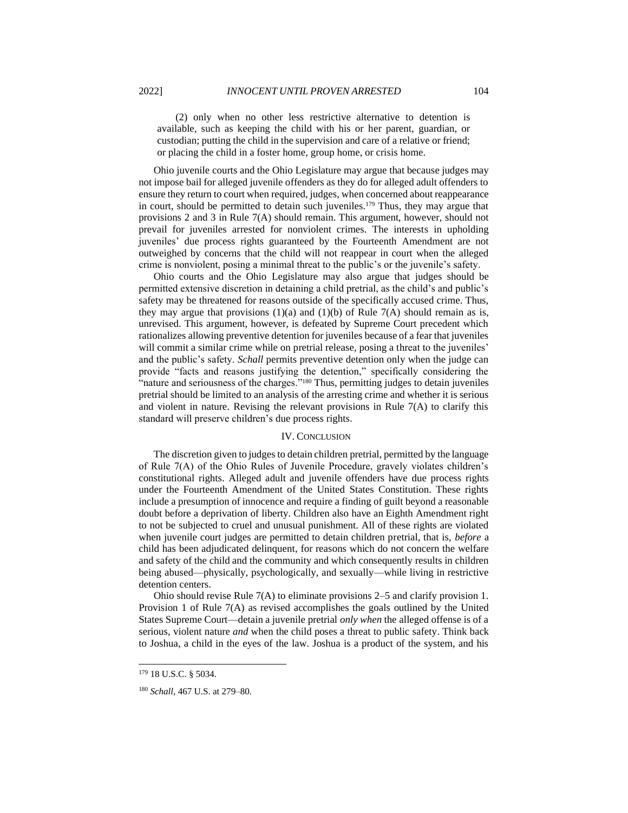(2) only when no other less restrictive alternative to detention is available, such as keeping the child with his or her parent, guardian, or custodian; putting the child in the supervision and care of a relative or friend; or placing the child in a foster home, group home, or crisis home.

Ohio juvenile courts and the Ohio Legislature may argue that because judges may not impose bail for alleged juvenile offenders as they do for alleged adult offenders to ensure they return to court when required, judges, when concerned about reappearance in court, should be permitted to detain such juveniles.<sup>179</sup> Thus, they may argue that provisions 2 and 3 in Rule 7(A) should remain. This argument, however, should not prevail for juveniles arrested for nonviolent crimes. The interests in upholding juveniles' due process rights guaranteed by the Fourteenth Amendment are not outweighed by concerns that the child will not reappear in court when the alleged crime is nonviolent, posing a minimal threat to the public's or the juvenile's safety.

Ohio courts and the Ohio Legislature may also argue that judges should be permitted extensive discretion in detaining a child pretrial, as the child's and public's safety may be threatened for reasons outside of the specifically accused crime. Thus, they may argue that provisions  $(1)(a)$  and  $(1)(b)$  of Rule 7(A) should remain as is, unrevised. This argument, however, is defeated by Supreme Court precedent which rationalizes allowing preventive detention for juveniles because of a fear that juveniles will commit a similar crime while on pretrial release, posing a threat to the juveniles' and the public's safety. *Schall* permits preventive detention only when the judge can provide "facts and reasons justifying the detention," specifically considering the "nature and seriousness of the charges."<sup>180</sup> Thus, permitting judges to detain juveniles pretrial should be limited to an analysis of the arresting crime and whether it is serious and violent in nature. Revising the relevant provisions in Rule 7(A) to clarify this standard will preserve children's due process rights.

#### IV. CONCLUSION

The discretion given to judges to detain children pretrial, permitted by the language of Rule 7(A) of the Ohio Rules of Juvenile Procedure, gravely violates children's constitutional rights. Alleged adult and juvenile offenders have due process rights under the Fourteenth Amendment of the United States Constitution. These rights include a presumption of innocence and require a finding of guilt beyond a reasonable doubt before a deprivation of liberty. Children also have an Eighth Amendment right to not be subjected to cruel and unusual punishment. All of these rights are violated when juvenile court judges are permitted to detain children pretrial, that is, *before* a child has been adjudicated delinquent, for reasons which do not concern the welfare and safety of the child and the community and which consequently results in children being abused—physically, psychologically, and sexually—while living in restrictive detention centers.

Ohio should revise Rule 7(A) to eliminate provisions 2–5 and clarify provision 1. Provision 1 of Rule 7(A) as revised accomplishes the goals outlined by the United States Supreme Court—detain a juvenile pretrial *only when* the alleged offense is of a serious, violent nature *and* when the child poses a threat to public safety. Think back to Joshua, a child in the eyes of the law. Joshua is a product of the system, and his

<sup>179</sup> 18 U.S.C. § 5034.

<sup>180</sup> *Schall*, 467 U.S. at 279–80.